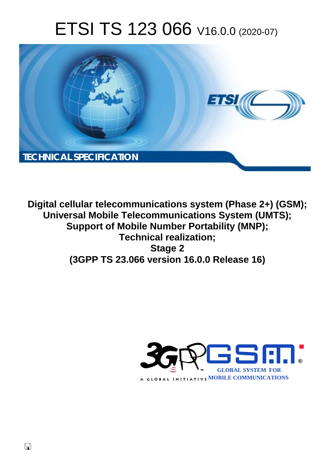# ETSI TS 123 066 V16.0.0 (2020-07)



**Digital cellular telecommunications system (Phase 2+) (GSM); Universal Mobile Telecommunications System (UMTS); Support of Mobile Number Portability (MNP); Technical realization; Stage 2 (3GPP TS 23.066 version 16.0.0 Release 16)** 

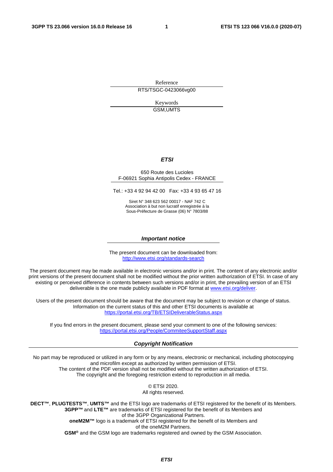Reference RTS/TSGC-0423066vg00

> Keywords GSM,UMTS

#### *ETSI*

#### 650 Route des Lucioles F-06921 Sophia Antipolis Cedex - FRANCE

Tel.: +33 4 92 94 42 00 Fax: +33 4 93 65 47 16

Siret N° 348 623 562 00017 - NAF 742 C Association à but non lucratif enregistrée à la Sous-Préfecture de Grasse (06) N° 7803/88

#### *Important notice*

The present document can be downloaded from: <http://www.etsi.org/standards-search>

The present document may be made available in electronic versions and/or in print. The content of any electronic and/or print versions of the present document shall not be modified without the prior written authorization of ETSI. In case of any existing or perceived difference in contents between such versions and/or in print, the prevailing version of an ETSI deliverable is the one made publicly available in PDF format at [www.etsi.org/deliver](http://www.etsi.org/deliver).

Users of the present document should be aware that the document may be subject to revision or change of status. Information on the current status of this and other ETSI documents is available at <https://portal.etsi.org/TB/ETSIDeliverableStatus.aspx>

If you find errors in the present document, please send your comment to one of the following services: <https://portal.etsi.org/People/CommiteeSupportStaff.aspx>

#### *Copyright Notification*

No part may be reproduced or utilized in any form or by any means, electronic or mechanical, including photocopying and microfilm except as authorized by written permission of ETSI. The content of the PDF version shall not be modified without the written authorization of ETSI. The copyright and the foregoing restriction extend to reproduction in all media.

> © ETSI 2020. All rights reserved.

**DECT™**, **PLUGTESTS™**, **UMTS™** and the ETSI logo are trademarks of ETSI registered for the benefit of its Members. **3GPP™** and **LTE™** are trademarks of ETSI registered for the benefit of its Members and of the 3GPP Organizational Partners. **oneM2M™** logo is a trademark of ETSI registered for the benefit of its Members and of the oneM2M Partners. **GSM®** and the GSM logo are trademarks registered and owned by the GSM Association.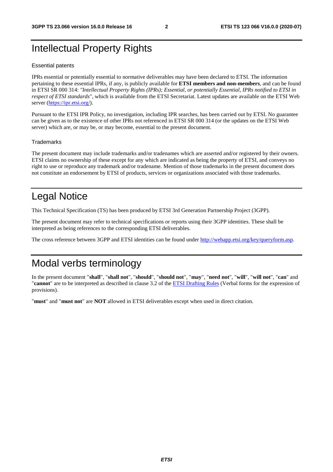## Intellectual Property Rights

#### Essential patents

IPRs essential or potentially essential to normative deliverables may have been declared to ETSI. The information pertaining to these essential IPRs, if any, is publicly available for **ETSI members and non-members**, and can be found in ETSI SR 000 314: *"Intellectual Property Rights (IPRs); Essential, or potentially Essential, IPRs notified to ETSI in respect of ETSI standards"*, which is available from the ETSI Secretariat. Latest updates are available on the ETSI Web server [\(https://ipr.etsi.org/](https://ipr.etsi.org/)).

Pursuant to the ETSI IPR Policy, no investigation, including IPR searches, has been carried out by ETSI. No guarantee can be given as to the existence of other IPRs not referenced in ETSI SR 000 314 (or the updates on the ETSI Web server) which are, or may be, or may become, essential to the present document.

#### **Trademarks**

The present document may include trademarks and/or tradenames which are asserted and/or registered by their owners. ETSI claims no ownership of these except for any which are indicated as being the property of ETSI, and conveys no right to use or reproduce any trademark and/or tradename. Mention of those trademarks in the present document does not constitute an endorsement by ETSI of products, services or organizations associated with those trademarks.

## Legal Notice

This Technical Specification (TS) has been produced by ETSI 3rd Generation Partnership Project (3GPP).

The present document may refer to technical specifications or reports using their 3GPP identities. These shall be interpreted as being references to the corresponding ETSI deliverables.

The cross reference between 3GPP and ETSI identities can be found under<http://webapp.etsi.org/key/queryform.asp>.

## Modal verbs terminology

In the present document "**shall**", "**shall not**", "**should**", "**should not**", "**may**", "**need not**", "**will**", "**will not**", "**can**" and "**cannot**" are to be interpreted as described in clause 3.2 of the [ETSI Drafting Rules](https://portal.etsi.org/Services/editHelp!/Howtostart/ETSIDraftingRules.aspx) (Verbal forms for the expression of provisions).

"**must**" and "**must not**" are **NOT** allowed in ETSI deliverables except when used in direct citation.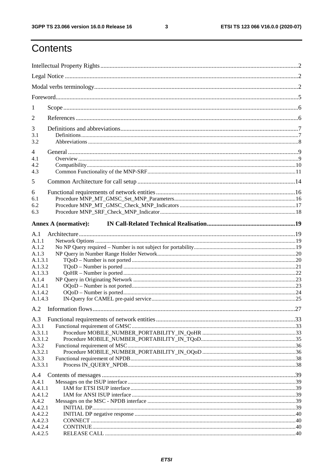$\mathbf{3}$ 

## Contents

| 1                                                                                                                                                                            |  |  |
|------------------------------------------------------------------------------------------------------------------------------------------------------------------------------|--|--|
| 2                                                                                                                                                                            |  |  |
| 3<br>3.1<br>3.2                                                                                                                                                              |  |  |
| 4                                                                                                                                                                            |  |  |
| 4.1<br>4.2<br>4.3                                                                                                                                                            |  |  |
| 5                                                                                                                                                                            |  |  |
| 6<br>6.1<br>6.2<br>6.3                                                                                                                                                       |  |  |
| <b>Annex A (normative):</b>                                                                                                                                                  |  |  |
| A.1<br>A.1.1<br>A.1.2<br>A.1.3<br>A.1.3.1<br>A.1.3.2<br>A.1.3.3<br>A.1.4<br>A.1.4.1<br>A.1.4.2<br>A.1.4.3<br>A.3<br>A.3.1<br>A.3.1.1<br>A.3.1.2<br>A.3.2<br>A.3.2.1<br>A.3.3 |  |  |
| A.3.3.1<br>A.4                                                                                                                                                               |  |  |
| A.4.1<br>A.4.1.1<br>A.4.1.2<br>A.4.2<br>A.4.2.1<br>A.4.2.2<br>A.4.2.3<br>A.4.2.4<br>A.4.2.5                                                                                  |  |  |
|                                                                                                                                                                              |  |  |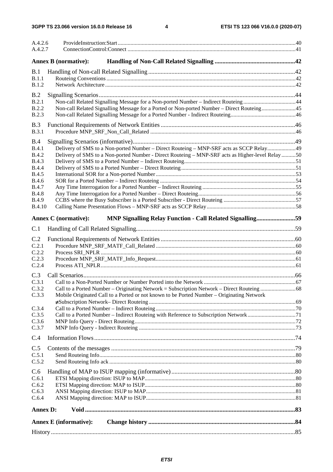| A.4.2.6<br>A.4.2.7           |                                                                                                  |  |
|------------------------------|--------------------------------------------------------------------------------------------------|--|
|                              | <b>Annex B</b> (normative):                                                                      |  |
| B.1                          |                                                                                                  |  |
| B.1.1                        |                                                                                                  |  |
| <b>B.1.2</b>                 |                                                                                                  |  |
| B.2                          |                                                                                                  |  |
| B.2.1                        | Non-call Related Signalling Message for a Non-ported Number - Indirect Routeing44                |  |
| B.2.2                        | Non-call Related Signalling Message for a Ported or Non-ported Number - Direct Routeing45        |  |
| <b>B.2.3</b>                 |                                                                                                  |  |
| B.3                          |                                                                                                  |  |
| B.3.1                        |                                                                                                  |  |
| B.4                          |                                                                                                  |  |
| B.4.1                        | Delivery of SMS to a Non-ported Number - Direct Routeing - MNP-SRF acts as SCCP Relay49          |  |
| <b>B.4.2</b>                 | Delivery of SMS to a Non-ported Number - Direct Routeing - MNP-SRF acts as Higher-level Relay 50 |  |
| <b>B.4.3</b>                 |                                                                                                  |  |
| <b>B.4.4</b>                 |                                                                                                  |  |
| <b>B.4.5</b><br><b>B.4.6</b> |                                                                                                  |  |
| <b>B.4.7</b>                 |                                                                                                  |  |
| <b>B.4.8</b>                 |                                                                                                  |  |
| <b>B.4.9</b>                 |                                                                                                  |  |
| <b>B.4.10</b>                |                                                                                                  |  |
|                              | <b>Annex C</b> (normative):<br>MNP Signalling Relay Function - Call Related Signalling59         |  |
|                              |                                                                                                  |  |
| C.1                          |                                                                                                  |  |
| C.2                          |                                                                                                  |  |
| C.2.1                        |                                                                                                  |  |
| C.2.2<br>C.2.3               |                                                                                                  |  |
| C.2.4                        |                                                                                                  |  |
|                              |                                                                                                  |  |
| C.3<br>C.3.1                 |                                                                                                  |  |
| C.3.2                        |                                                                                                  |  |
| C.3.3                        | Mobile Originated Call to a Ported or not known to be Ported Number – Originating Network        |  |
|                              |                                                                                                  |  |
| C.3.4                        |                                                                                                  |  |
| C.3.5                        |                                                                                                  |  |
| C.3.6<br>C.3.7               |                                                                                                  |  |
|                              |                                                                                                  |  |
| C.4                          |                                                                                                  |  |
| C.5                          |                                                                                                  |  |
| C.5.1                        |                                                                                                  |  |
| C.5.2                        |                                                                                                  |  |
| C.6                          |                                                                                                  |  |
| C.6.1                        |                                                                                                  |  |
| C.6.2<br>C.6.3               |                                                                                                  |  |
| C.6.4                        |                                                                                                  |  |
|                              |                                                                                                  |  |
| <b>Annex D:</b>              |                                                                                                  |  |
|                              | <b>Annex E</b> (informative):                                                                    |  |
|                              |                                                                                                  |  |
|                              |                                                                                                  |  |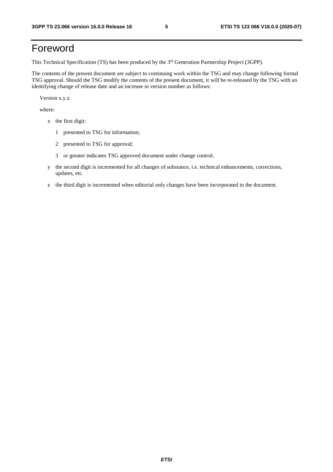## Foreword

This Technical Specification (TS) has been produced by the 3<sup>rd</sup> Generation Partnership Project (3GPP).

The contents of the present document are subject to continuing work within the TSG and may change following formal TSG approval. Should the TSG modify the contents of the present document, it will be re-released by the TSG with an identifying change of release date and an increase in version number as follows:

Version x.y.z

where:

- x the first digit:
	- 1 presented to TSG for information;
	- 2 presented to TSG for approval;
	- 3 or greater indicates TSG approved document under change control.
- y the second digit is incremented for all changes of substance, i.e. technical enhancements, corrections, updates, etc.
- z the third digit is incremented when editorial only changes have been incorporated in the document.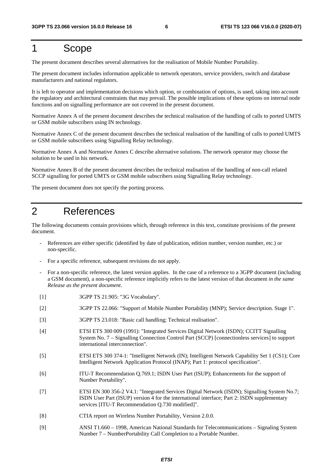## 1 Scope

The present document describes several alternatives for the realisation of Mobile Number Portability.

The present document includes information applicable to network operators, service providers, switch and database manufacturers and national regulators.

It is left to operator and implementation decisions which option, or combination of options, is used, taking into account the regulatory and architectural constraints that may prevail. The possible implications of these options on internal node functions and on signalling performance are not covered in the present document.

Normative Annex A of the present document describes the technical realisation of the handling of calls to ported UMTS or GSM mobile subscribers using IN technology.

Normative Annex C of the present document describes the technical realisation of the handling of calls to ported UMTS or GSM mobile subscribers using Signalling Relay technology.

Normative Annex A and Normative Annex C describe alternative solutions. The network operator may choose the solution to be used in his network.

Normative Annex B of the present document describes the technical realisation of the handling of non-call related SCCP signalling for ported UMTS or GSM mobile subscribers using Signalling Relay technology.

The present document does not specify the porting process.

## 2 References

The following documents contain provisions which, through reference in this text, constitute provisions of the present document.

- References are either specific (identified by date of publication, edition number, version number, etc.) or non-specific.
- For a specific reference, subsequent revisions do not apply.
- For a non-specific reference, the latest version applies. In the case of a reference to a 3GPP document (including a GSM document), a non-specific reference implicitly refers to the latest version of that document *in the same Release as the present document*.
- [1] 3GPP TS 21.905: "3G Vocabulary".
- [2] 3GPP TS 22.066: "Support of Mobile Number Portability (MNP); Service description. Stage 1".
- [3] 3GPP TS 23.018: "Basic call handling; Technical realisation".
- [4] ETSI ETS 300 009 (1991): "Integrated Services Digital Network (ISDN); CCITT Signalling System No. 7 – Signalling Connection Control Part (SCCP) [connectionless services] to support international interconnection".
- [5] ETSI ETS 300 374-1: "Intelligent Network (IN); Intelligent Network Capability Set 1 (CS1); Core Intelligent Network Application Protocol (INAP); Part 1: protocol specification".
- [6] ITU-T Recommendation Q.769.1; ISDN User Part (ISUP); Enhancements for the support of Number Portability".
- [7] ETSI EN 300 356-2 V4.1: "Integrated Services Digital Network (ISDN); Signalling System No.7; ISDN User Part (ISUP) version 4 for the international interface; Part 2: ISDN supplementary services [ITU-T Recommendation Q.730 modified]".
- [8} CTIA report on Wireless Number Portability, Version 2.0.0.
- [9] ANSI T1.660 1998, American National Standards for Telecommunications Signaling System Number 7 – NumberPortability Call Completion to a Portable Number.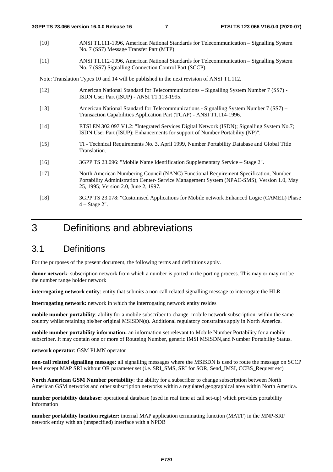- [10] ANSI T1.111-1996, American National Standards for Telecommunication Signalling System No. 7 (SS7) Message Transfer Part (MTP).
- [11] ANSI T1.112-1996, American National Standards for Telecommunication Signalling System No. 7 (SS7) Signalling Connection Control Part (SCCP).

Note: Translation Types 10 and 14 will be published in the next revision of ANSI T1.112.

- [12] American National Standard for Telecommunications Signalling System Number 7 (SS7) ISDN User Part (ISUP) - ANSI T1.113-1995.
- [13] American National Standard for Telecommunications Signalling System Number 7 (SS7) Transaction Capabilities Application Part (TCAP) - ANSI T1.114-1996.
- [14] ETSI EN 302 097 V1.2: "Integrated Services Digital Network (ISDN); Signalling System No.7; ISDN User Part (ISUP); Enhancements for support of Number Portability (NP)".
- [15] TI Technical Requirements No. 3, April 1999, Number Portability Database and Global Title Translation.
- [16] 3GPP TS 23.096: "Mobile Name Identification Supplementary Service Stage 2".
- [17] North American Numbering Council (NANC) Functional Requirement Specification, Number Portability Administration Center- Service Management System (NPAC-SMS), Version 1.0, May 25, 1995; Version 2.0, June 2, 1997*.*
- [18] 3GPP TS 23.078: "Customised Applications for Mobile network Enhanced Logic (CAMEL) Phase 4 – Stage 2".

## 3 Definitions and abbreviations

### 3.1 Definitions

For the purposes of the present document, the following terms and definitions apply.

**donor network**: subscription network from which a number is ported in the porting process. This may or may not be the number range holder network

**interrogating network entity**: entity that submits a non-call related signalling message to interrogate the HLR

**interrogating network:** network in which the interrogating network entity resides

**mobile number portability**: ability for a mobile subscriber to change mobile network subscription within the same country whilst retaining his/her original MSISDN(s). Additional regulatory constraints apply in North America.

**mobile number portability information:** an information set relevant to Mobile Number Portability for a mobile subscriber. It may contain one or more of Routeing Number, generic IMSI MSISDN,and Number Portability Status.

#### **network operator**: GSM PLMN operator

**non-call related signalling message:** all signalling messages where the MSISDN is used to route the message on SCCP level except MAP SRI without OR parameter set (i.e. SRI\_SMS, SRI for SOR, Send\_IMSI, CCBS\_Request etc)

**North American GSM Number portability**: the ability for a subscriber to change subscription between North American GSM networks and other subscription networks within a regulated geographical area within North America.

**number portability database:** operational database (used in real time at call set-up) which provides portability information

**number portability location register:** internal MAP application terminating function (MATF) in the MNP-SRF network entity with an (unspecified) interface with a NPDB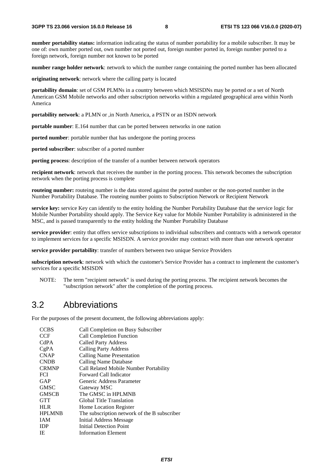**number portability status:** information indicating the status of number portability for a mobile subscriber. It may be one of: own number ported out, own number not ported out, foreign number ported in, foreign number ported to a foreign network, foreign number not known to be ported

**number range holder network**: network to which the number range containing the ported number has been allocated

**originating network**: network where the calling party is located

**portability domain**: set of GSM PLMNs in a country between which MSISDNs may be ported or a set of North American GSM Mobile networks and other subscription networks within a regulated geographical area within North America

**portability network**: a PLMN or ,in North America, a PSTN or an ISDN network

**portable number**: E.164 number that can be ported between networks in one nation

**ported number**: portable number that has undergone the porting process

**ported subscriber**: subscriber of a ported number

**porting process**: description of the transfer of a number between network operators

**recipient network**: network that receives the number in the porting process. This network becomes the subscription network when the porting process is complete

**routeing number:** routeing number is the data stored against the ported number or the non-ported number in the Number Portability Database. The routeing number points to Subscription Network or Recipient Network

**service key:** service Key can identify to the entity holding the Number Portability Database that the service logic for Mobile Number Portability should apply. The Service Key value for Mobile Number Portability is administered in the MSC, and is passed transparently to the entity holding the Number Portability Database

**service provider**: entity that offers service subscriptions to individual subscribers and contracts with a network operator to implement services for a specific MSISDN. A service provider may contract with more than one network operator

**service provider portability**: transfer of numbers between two unique Service Providers

**subscription network**: network with which the customer's Service Provider has a contract to implement the customer's services for a specific MSISDN

NOTE: The term "recipient network" is used during the porting process. The recipient network becomes the "subscription network" after the completion of the porting process.

### 3.2 Abbreviations

For the purposes of the present document, the following abbreviations apply:

| <b>CCBS</b>   | Call Completion on Busy Subscriber           |
|---------------|----------------------------------------------|
| <b>CCF</b>    | Call Completion Function                     |
| CdPA          | <b>Called Party Address</b>                  |
| CgPA          | <b>Calling Party Address</b>                 |
| <b>CNAP</b>   | Calling Name Presentation                    |
| <b>CNDB</b>   | Calling Name Database                        |
| <b>CRMNP</b>  | Call Related Mobile Number Portability       |
| <b>FCI</b>    | Forward Call Indicator                       |
| GAP           | Generic Address Parameter                    |
| <b>GMSC</b>   | Gateway MSC                                  |
| <b>GMSCB</b>  | The GMSC in HPLMNB                           |
| <b>GTT</b>    | Global Title Translation                     |
| <b>HLR</b>    | <b>Home Location Register</b>                |
| <b>HPLMNB</b> | The subscription network of the B subscriber |
| <b>IAM</b>    | <b>Initial Address Message</b>               |
| <b>IDP</b>    | Initial Detection Point                      |
| IE            | <b>Information Element</b>                   |
|               |                                              |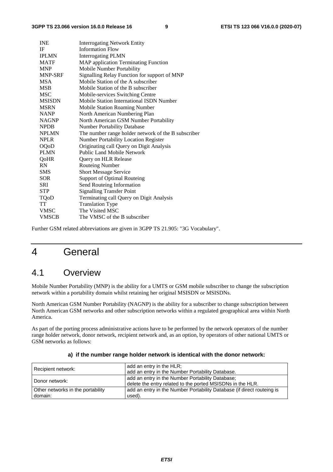| <b>INE</b>     | <b>Interrogating Network Entity</b>                 |
|----------------|-----------------------------------------------------|
| IF             | <b>Information Flow</b>                             |
| <b>IPLMN</b>   | <b>Interrogating PLMN</b>                           |
| <b>MATF</b>    | MAP application Terminating Function                |
| <b>MNP</b>     | Mobile Number Portability                           |
| <b>MNP-SRF</b> | Signalling Relay Function for support of MNP        |
| <b>MSA</b>     | Mobile Station of the A subscriber                  |
| <b>MSB</b>     | Mobile Station of the B subscriber                  |
| <b>MSC</b>     | Mobile-services Switching Centre                    |
| <b>MSISDN</b>  | Mobile Station International ISDN Number            |
| <b>MSRN</b>    | <b>Mobile Station Roaming Number</b>                |
| <b>NANP</b>    | North American Numbering Plan                       |
| <b>NAGNP</b>   | North American GSM Number Portability               |
| <b>NPDB</b>    | <b>Number Portability Database</b>                  |
| <b>NPLMN</b>   | The number range holder network of the B subscriber |
| <b>NPLR</b>    | <b>Number Portability Location Register</b>         |
| <b>OQoD</b>    | Originating call Query on Digit Analysis            |
| <b>PLMN</b>    | <b>Public Land Mobile Network</b>                   |
| QoHR           | Query on HLR Release                                |
| <b>RN</b>      | <b>Routeing Number</b>                              |
| <b>SMS</b>     | <b>Short Message Service</b>                        |
| <b>SOR</b>     | Support of Optimal Routeing                         |
| SRI            | Send Routeing Information                           |
| <b>STP</b>     | <b>Signalling Transfer Point</b>                    |
| TQoD           | Terminating call Query on Digit Analysis            |
| TT             | <b>Translation Type</b>                             |
| <b>VMSC</b>    | The Visited MSC                                     |
| <b>VMSCB</b>   | The VMSC of the B subscriber                        |

Further GSM related abbreviations are given in 3GPP TS 21.905: "3G Vocabulary".

## 4 General

### 4.1 Overview

domain:

Mobile Number Portability (MNP) is the ability for a UMTS or GSM mobile subscriber to change the subscription network within a portability domain whilst retaining her original MSISDN or MSISDNs.

North American GSM Number Portability (NAGNP) is the ability for a subscriber to change subscription between North American GSM networks and other subscription networks within a regulated geographical area within North America.

As part of the porting process administrative actions have to be performed by the network operators of the number range holder network, donor network, recipient network and, as an option, by operators of other national UMTS or GSM networks as follows:

| Recipient network:                | add an entry in the HLR;                                               |
|-----------------------------------|------------------------------------------------------------------------|
|                                   | add an entry in the Number Portability Database.                       |
|                                   | add an entry in the Number Portability Database;                       |
| Donor network:                    | delete the entry related to the ported MSISDNs in the HLR.             |
| Other networks in the portability | add an entry in the Number Portability Database (if direct routeing is |

used).

#### **a) if the number range holder network is identical with the donor network:**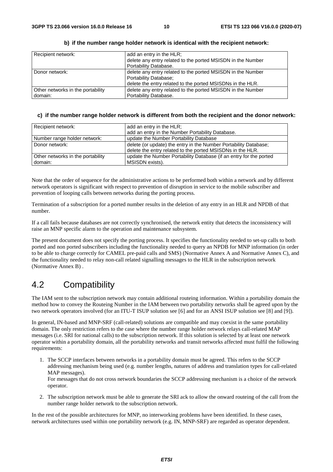| Recipient network:                | add an entry in the HLR;                                    |
|-----------------------------------|-------------------------------------------------------------|
|                                   | delete any entry related to the ported MSISDN in the Number |
|                                   | Portability Database.                                       |
| Donor network:                    | delete any entry related to the ported MSISDN in the Number |
|                                   | Portability Database;                                       |
|                                   | delete the entry related to the ported MSISDNs in the HLR.  |
| Other networks in the portability | delete any entry related to the ported MSISDN in the Number |
| domain:                           | Portability Database.                                       |

#### **b) if the number range holder network is identical with the recipient network:**

#### **c) if the number range holder network is different from both the recipient and the donor network:**

| Recipient network:                | add an entry in the HLR;                                           |
|-----------------------------------|--------------------------------------------------------------------|
|                                   | add an entry in the Number Portability Database.                   |
| Number range holder network:      | update the Number Portability Database                             |
| Donor network:                    | delete (or update) the entry in the Number Portability Database;   |
|                                   | delete the entry related to the ported MSISDNs in the HLR.         |
| Other networks in the portability | update the Number Portability Database (if an entry for the ported |
| domain:                           | MSISDN exists).                                                    |

Note that the order of sequence for the administrative actions to be performed both within a network and by different network operators is significant with respect to prevention of disruption in service to the mobile subscriber and prevention of looping calls between networks during the porting process.

Termination of a subscription for a ported number results in the deletion of any entry in an HLR and NPDB of that number.

If a call fails because databases are not correctly synchronised, the network entity that detects the inconsistency will raise an MNP specific alarm to the operation and maintenance subsystem.

The present document does not specify the porting process. It specifies the functionality needed to set-up calls to both ported and non ported subscribers including the functionality needed to query an NPDB for MNP information (in order to be able to charge correctly for CAMEL pre-paid calls and SMS) (Normative Annex A and Normative Annex C), and the functionality needed to relay non-call related signalling messages to the HLR in the subscription network (Normative Annex B) .

### 4.2 Compatibility

The IAM sent to the subscription network may contain additional routeing information. Within a portability domain the method how to convey the Routeing Number in the IAM between two portability networks shall be agreed upon by the two network operators involved (for an ITU-T ISUP solution see [6] and for an ANSI ISUP solution see [8] and [9]).

In general, IN-based and MNP-SRF (call-related) solutions are compatible and may coexist in the same portability domain. The only restriction refers to the case where the number range holder network relays call-related MAP messages (i.e. SRI for national calls) to the subscription network. If this solution is selected by at least one network operator within a portability domain, all the portability networks and transit networks affected must fulfil the following requirements:

1. The SCCP interfaces between networks in a portability domain must be agreed. This refers to the SCCP addressing mechanism being used (e.g. number lengths, natures of address and translation types for call-related MAP messages).

For messages that do not cross network boundaries the SCCP addressing mechanism is a choice of the network operator.

2. The subscription network must be able to generate the SRI ack to allow the onward routeing of the call from the number range holder network to the subscription network.

In the rest of the possible architectures for MNP, no interworking problems have been identified. In these cases, network architectures used within one portability network (e.g. IN, MNP-SRF) are regarded as operator dependent.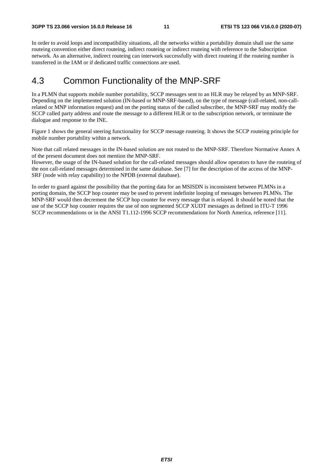In order to avoid loops and incompatibility situations, all the networks within a portability domain shall use the same routeing convention either direct routeing, indirect routeing or indirect routeing with reference to the Subscription network. As an alternative, indirect routeing can interwork successfully with direct routeing if the routeing number is transferred in the IAM or if dedicated traffic connections are used.

### 4.3 Common Functionality of the MNP-SRF

In a PLMN that supports mobile number portability, SCCP messages sent to an HLR may be relayed by an MNP-SRF. Depending on the implemented solution (IN-based or MNP-SRF-based), on the type of message (call-related, non-callrelated or MNP information request) and on the porting status of the called subscriber, the MNP-SRF may modify the SCCP called party address and route the message to a different HLR or to the subscription network, or terminate the dialogue and response to the INE.

Figure 1 shows the general steering functionality for SCCP message routeing. It shows the SCCP routeing principle for mobile number portability within a network.

Note that call related messages in the IN-based solution are not routed to the MNP-SRF. Therefore Normative Annex A of the present document does not mention the MNP-SRF.

However, the usage of the IN-based solution for the call-related messages should allow operators to have the routeing of the non call-related messages determined in the same database. See [7] for the description of the access of the MNP-SRF (node with relay capability) to the NPDB (external database).

In order to guard against the possibility that the porting data for an MSISDN is inconsistent between PLMNs in a porting domain, the SCCP hop counter may be used to prevent indefinite looping of messages between PLMNs. The MNP-SRF would then decrement the SCCP hop counter for every message that is relayed. It should be noted that the use of the SCCP hop counter requires the use of non segmented SCCP XUDT messages as defined in ITU-T 1996 SCCP recommendations or in the ANSI T1.112-1996 SCCP recommendations for North America, reference [11].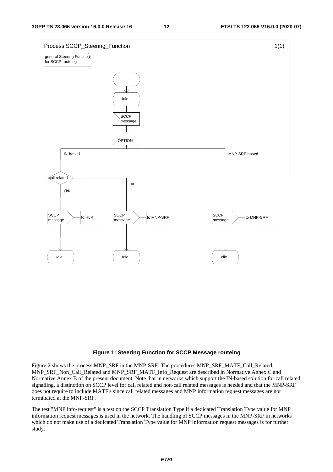

#### **Figure 1: Steering Function for SCCP Message routeing**

Figure 2 shows the process MNP\_SRF in the MNP-SRF. The procedures MNP\_SRF\_MATF\_Call\_Related, MNP\_SRF\_Non\_Call\_Related and MNP\_SRF\_MATF\_Info\_Request are described in Normative Annex C and Normative Annex B of the present document. Note that in networks which support the IN-based solution for call related signalling, a distinction on SCCP level for call related and non-call related messages is needed and that the MNP-SRF does not require to include MATF's since call related messages and MNP information request messages are not terminated at the MNP-SRF.

The test "MNP info-request" is a test on the SCCP Translation Type if a dedicated Translation Type value for MNP information request messages is used in the network. The handling of SCCP messages in the MNP-SRF in networks which do not make use of a dedicated Translation Type value for MNP information request messages is for further study.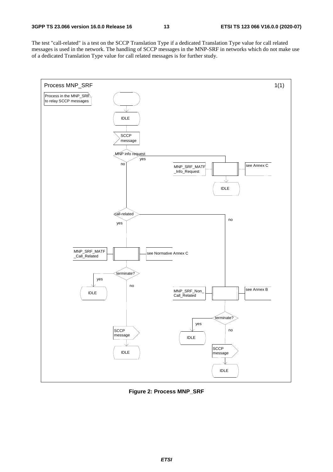The test "call-related" is a test on the SCCP Translation Type if a dedicated Translation Type value for call related messages is used in the network. The handling of SCCP messages in the MNP-SRF in networks which do not make use of a dedicated Translation Type value for call related messages is for further study.



**Figure 2: Process MNP\_SRF**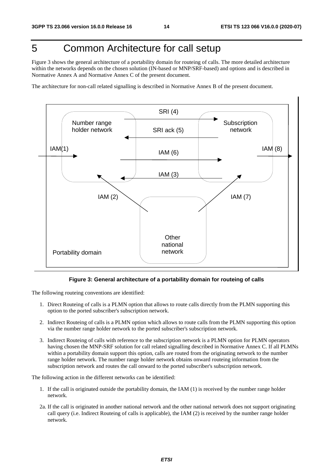## 5 Common Architecture for call setup

Figure 3 shows the general architecture of a portability domain for routeing of calls. The more detailed architecture within the networks depends on the chosen solution (IN-based or MNP/SRF-based) and options and is described in Normative Annex A and Normative Annex C of the present document.

The architecture for non-call related signalling is described in Normative Annex B of the present document.



#### **Figure 3: General architecture of a portability domain for routeing of calls**

The following routeing conventions are identified:

- 1. Direct Routeing of calls is a PLMN option that allows to route calls directly from the PLMN supporting this option to the ported subscriber's subscription network.
- 2. Indirect Routeing of calls is a PLMN option which allows to route calls from the PLMN supporting this option via the number range holder network to the ported subscriber's subscription network.
- 3. Indirect Routeing of calls with reference to the subscription network is a PLMN option for PLMN operators having chosen the MNP-SRF solution for call related signalling described in Normative Annex C. If all PLMNs within a portability domain support this option, calls are routed from the originating network to the number range holder network. The number range holder network obtains onward routeing information from the subscription network and routes the call onward to the ported subscriber's subscription network.

The following action in the different networks can be identified:

- 1. If the call is originated outside the portability domain, the IAM (1) is received by the number range holder network.
- 2a. If the call is originated in another national network and the other national network does not support originating call query (i.e. Indirect Routeing of calls is applicable), the IAM (2) is received by the number range holder network.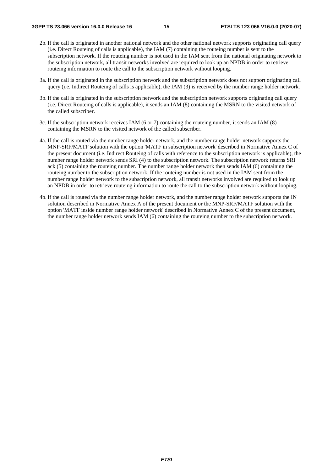- 2b. If the call is originated in another national network and the other national network supports originating call query (i.e. Direct Routeing of calls is applicable), the IAM (7) containing the routeing number is sent to the subscription network. If the routeing number is not used in the IAM sent from the national originating network to the subscription network, all transit networks involved are required to look up an NPDB in order to retrieve routeing information to route the call to the subscription network without looping.
- 3a. If the call is originated in the subscription network and the subscription network does not support originating call query (i.e. Indirect Routeing of calls is applicable), the IAM (3) is received by the number range holder network.
- 3b. If the call is originated in the subscription network and the subscription network supports originating call query (i.e. Direct Routeing of calls is applicable), it sends an IAM (8) containing the MSRN to the visited network of the called subscriber.
- 3c. If the subscription network receives IAM (6 or 7) containing the routeing number, it sends an IAM (8) containing the MSRN to the visited network of the called subscriber.
- 4a. If the call is routed via the number range holder network, and the number range holder network supports the MNP-SRF/MATF solution with the option 'MATF in subscription network' described in Normative Annex C of the present document (i.e. Indirect Routeing of calls with reference to the subscription network is applicable), the number range holder network sends SRI (4) to the subscription network. The subscription network returns SRI ack (5) containing the routeing number. The number range holder network then sends IAM (6) containing the routeing number to the subscription network. If the routeing number is not used in the IAM sent from the number range holder network to the subscription network, all transit networks involved are required to look up an NPDB in order to retrieve routeing information to route the call to the subscription network without looping.
- 4b. If the call is routed via the number range holder network, and the number range holder network supports the IN solution described in Normative Annex A of the present document or the MNP-SRF/MATF solution with the option 'MATF inside number range holder network' described in Normative Annex C of the present document, the number range holder network sends IAM (6) containing the routeing number to the subscription network.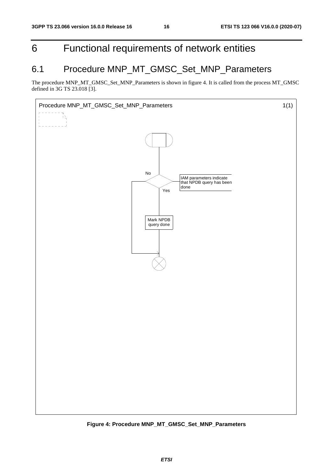## 6 Functional requirements of network entities

## 6.1 Procedure MNP\_MT\_GMSC\_Set\_MNP\_Parameters

The procedure MNP\_MT\_GMSC\_Set\_MNP\_Parameters is shown in figure 4. It is called from the process MT\_GMSC defined in 3G TS 23.018 [3].



**Figure 4: Procedure MNP\_MT\_GMSC\_Set\_MNP\_Parameters**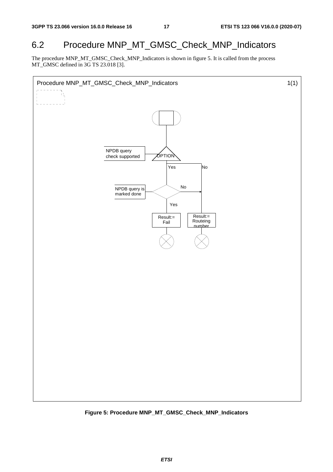## 6.2 Procedure MNP\_MT\_GMSC\_Check\_MNP\_Indicators

The procedure MNP\_MT\_GMSC\_Check\_MNP\_Indicators is shown in figure 5. It is called from the process MT\_GMSC defined in 3G TS 23.018 [3].



**Figure 5: Procedure MNP\_MT\_GMSC\_Check\_MNP\_Indicators**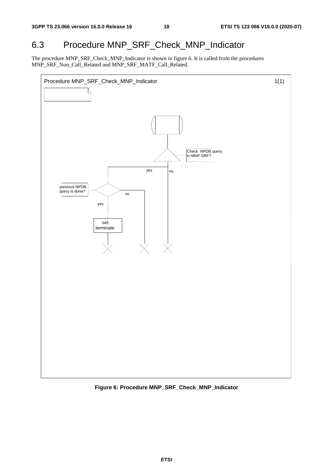## 6.3 Procedure MNP\_SRF\_Check\_MNP\_Indicator

The procedure MNP\_SRF\_Check\_MNP\_Indicator is shown in figure 6. It is called from the procedures MNP\_SRF\_Non\_Call\_Related and MNP\_SRF\_MATF\_Call\_Related.



**Figure 6: Procedure MNP\_SRF\_Check\_MNP\_Indicator**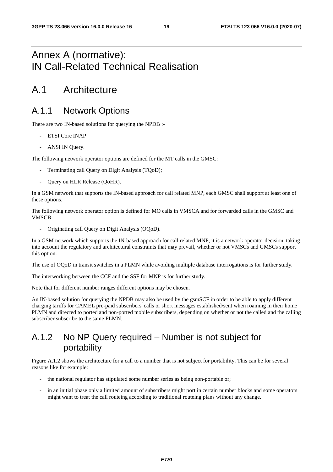## Annex A (normative): IN Call-Related Technical Realisation

## A.1 Architecture

## A.1.1 Network Options

There are two IN-based solutions for querying the NPDB :-

- ETSI Core INAP
- ANSI IN Query.

The following network operator options are defined for the MT calls in the GMSC:

- Terminating call Ouery on Digit Analysis (TOoD);
- Query on HLR Release (QoHR).

In a GSM network that supports the IN-based approach for call related MNP, each GMSC shall support at least one of these options.

The following network operator option is defined for MO calls in VMSCA and for forwarded calls in the GMSC and VMSCB:

- Originating call Query on Digit Analysis (OQoD).

In a GSM network which supports the IN-based approach for call related MNP, it is a network operator decision, taking into account the regulatory and architectural constraints that may prevail, whether or not VMSCs and GMSCs support this option.

The use of OQoD in transit switches in a PLMN while avoiding multiple database interrogations is for further study.

The interworking between the CCF and the SSF for MNP is for further study.

Note that for different number ranges different options may be chosen.

An IN-based solution for querying the NPDB may also be used by the gsmSCF in order to be able to apply different charging tariffs for CAMEL pre-paid subscribers' calls or short messages established/sent when roaming in their home PLMN and directed to ported and non-ported mobile subscribers, depending on whether or not the called and the calling subscriber subscribe to the same PLMN.

## A.1.2 No NP Query required – Number is not subject for portability

Figure A.1.2 shows the architecture for a call to a number that is not subject for portability. This can be for several reasons like for example:

- the national regulator has stipulated some number series as being non-portable or;
- in an initial phase only a limited amount of subscribers might port in certain number blocks and some operators might want to treat the call routeing according to traditional routeing plans without any change.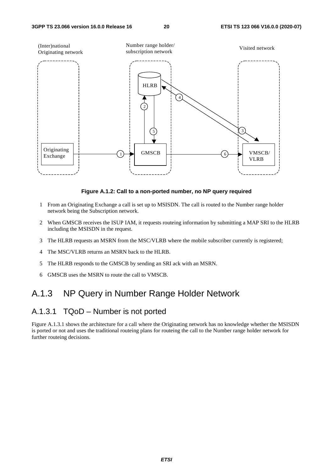

**Figure A.1.2: Call to a non-ported number, no NP query required** 

- 1 From an Originating Exchange a call is set up to MSISDN. The call is routed to the Number range holder network being the Subscription network.
- 2 When GMSCB receives the ISUP IAM, it requests routeing information by submitting a MAP SRI to the HLRB including the MSISDN in the request.
- 3 The HLRB requests an MSRN from the MSC/VLRB where the mobile subscriber currently is registered;
- 4 The MSC/VLRB returns an MSRN back to the HLRB.
- 5 The HLRB responds to the GMSCB by sending an SRI ack with an MSRN.
- 6 GMSCB uses the MSRN to route the call to VMSCB.

## A.1.3 NP Query in Number Range Holder Network

### A.1.3.1 TQoD – Number is not ported

Figure A.1.3.1 shows the architecture for a call where the Originating network has no knowledge whether the MSISDN is ported or not and uses the traditional routeing plans for routeing the call to the Number range holder network for further routeing decisions.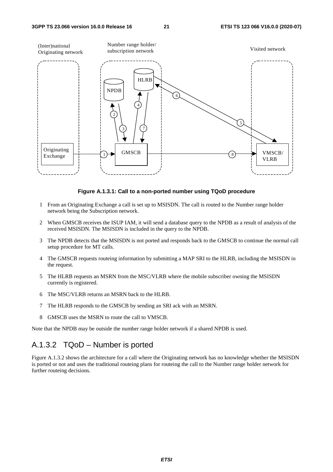

**Figure A.1.3.1: Call to a non-ported number using TQoD procedure** 

- 1 From an Originating Exchange a call is set up to MSISDN. The call is routed to the Number range holder network being the Subscription network.
- 2 When GMSCB receives the ISUP IAM, it will send a database query to the NPDB as a result of analysis of the received MSISDN. The MSISDN is included in the query to the NPDB.
- 3 The NPDB detects that the MSISDN is not ported and responds back to the GMSCB to continue the normal call setup procedure for MT calls.
- 4 The GMSCB requests routeing information by submitting a MAP SRI to the HLRB, including the MSISDN in the request.
- 5 The HLRB requests an MSRN from the MSC/VLRB where the mobile subscriber owning the MSISDN currently is registered.
- 6 The MSC/VLRB returns an MSRN back to the HLRB.
- 7 The HLRB responds to the GMSCB by sending an SRI ack with an MSRN.
- 8 GMSCB uses the MSRN to route the call to VMSCB.

Note that the NPDB may be outside the number range holder network if a shared NPDB is used.

### A.1.3.2 TQoD – Number is ported

Figure A.1.3.2 shows the architecture for a call where the Originating network has no knowledge whether the MSISDN is ported or not and uses the traditional routeing plans for routeing the call to the Number range holder network for further routeing decisions.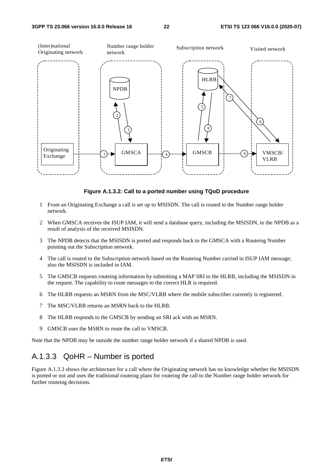

**Figure A.1.3.2: Call to a ported number using TQoD procedure** 

- 1 From an Originating Exchange a call is set up to MSISDN. The call is routed to the Number range holder network.
- 2 When GMSCA receives the ISUP IAM, it will send a database query, including the MSISDN, to the NPDB as a result of analysis of the received MSISDN.
- 3 The NPDB detects that the MSISDN is ported and responds back to the GMSCA with a Routeing Number pointing out the Subscription network.
- 4 The call is routed to the Subscription network based on the Routeing Number carried in ISUP IAM message; also the MSISDN is included in IAM.
- 5 The GMSCB requests routeing information by submitting a MAP SRI to the HLRB, including the MSISDN in the request. The capability to route messages to the correct HLR is required.
- 6 The HLRB requests an MSRN from the MSC/VLRB where the mobile subscriber currently is registered.
- 7 The MSC/VLRB returns an MSRN back to the HLRB.
- 8 The HLRB responds to the GMSCB by sending an SRI ack with an MSRN.
- 9 GMSCB uses the MSRN to route the call to VMSCB.

Note that the NPDB may be outside the number range holder network if a shared NPDB is used.

### A.1.3.3 QoHR – Number is ported

Figure A.1.3.3 shows the architecture for a call where the Originating network has no knowledge whether the MSISDN is ported or not and uses the traditional routeing plans for routeing the call to the Number range holder network for further routeing decisions.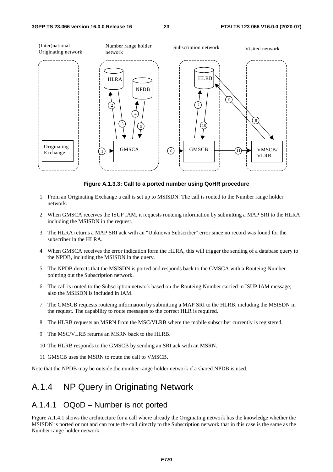

**Figure A.1.3.3: Call to a ported number using QoHR procedure** 

- 1 From an Originating Exchange a call is set up to MSISDN. The call is routed to the Number range holder network.
- 2 When GMSCA receives the ISUP IAM, it requests routeing information by submitting a MAP SRI to the HLRA including the MSISDN in the request.
- 3 The HLRA returns a MAP SRI ack with an "Unknown Subscriber" error since no record was found for the subscriber in the HLRA.
- 4 When GMSCA receives the error indication form the HLRA, this will trigger the sending of a database query to the NPDB, including the MSISDN in the query.
- 5 The NPDB detects that the MSISDN is ported and responds back to the GMSCA with a Routeing Number pointing out the Subscription network.
- 6 The call is routed to the Subscription network based on the Routeing Number carried in ISUP IAM message; also the MSISDN is included in IAM.
- 7 The GMSCB requests routeing information by submitting a MAP SRI to the HLRB, including the MSISDN in the request. The capability to route messages to the correct HLR is required.
- 8 The HLRB requests an MSRN from the MSC/VLRB where the mobile subscriber currently is registered.
- 9 The MSC/VLRB returns an MSRN back to the HLRB.
- 10 The HLRB responds to the GMSCB by sending an SRI ack with an MSRN.
- 11 GMSCB uses the MSRN to route the call to VMSCB.

Note that the NPDB may be outside the number range holder network if a shared NPDB is used.

### A.1.4 NP Query in Originating Network

### A.1.4.1 OQoD – Number is not ported

Figure A.1.4.1 shows the architecture for a call where already the Originating network has the knowledge whether the MSISDN is ported or not and can route the call directly to the Subscription network that in this case is the same as the Number range holder network.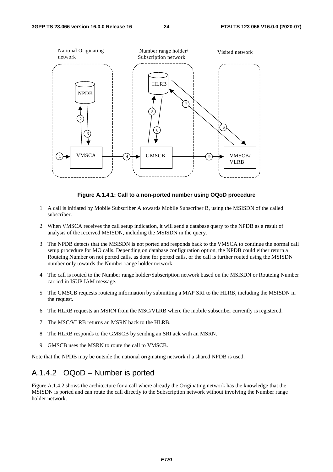

#### **Figure A.1.4.1: Call to a non-ported number using OQoD procedure**

- 1 A call is initiated by Mobile Subscriber A towards Mobile Subscriber B, using the MSISDN of the called subscriber.
- 2 When VMSCA receives the call setup indication, it will send a database query to the NPDB as a result of analysis of the received MSISDN, including the MSISDN in the query.
- 3 The NPDB detects that the MSISDN is not ported and responds back to the VMSCA to continue the normal call setup procedure for MO calls. Depending on database configuration option, the NPDB could either return a Routeing Number on not ported calls, as done for ported calls, or the call is further routed using the MSISDN number only towards the Number range holder network.
- 4 The call is routed to the Number range holder/Subscription network based on the MSISDN or Routeing Number carried in ISUP IAM message.
- 5 The GMSCB requests routeing information by submitting a MAP SRI to the HLRB, including the MSISDN in the request.
- 6 The HLRB requests an MSRN from the MSC/VLRB where the mobile subscriber currently is registered.
- 7 The MSC/VLRB returns an MSRN back to the HLRB.
- 8 The HLRB responds to the GMSCB by sending an SRI ack with an MSRN.
- 9 GMSCB uses the MSRN to route the call to VMSCB.

Note that the NPDB may be outside the national originating network if a shared NPDB is used.

### A.1.4.2 OQoD – Number is ported

Figure A.1.4.2 shows the architecture for a call where already the Originating network has the knowledge that the MSISDN is ported and can route the call directly to the Subscription network without involving the Number range holder network.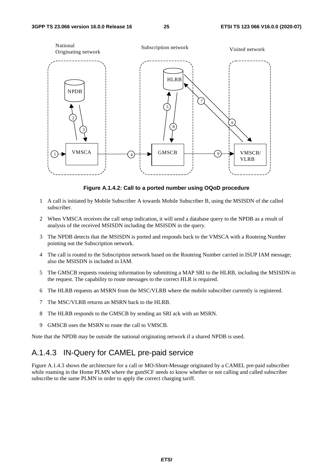

**Figure A.1.4.2: Call to a ported number using OQoD procedure** 

- 1 A call is initiated by Mobile Subscriber A towards Mobile Subscriber B, using the MSISDN of the called subscriber.
- 2 When VMSCA receives the call setup indication, it will send a database query to the NPDB as a result of analysis of the received MSISDN including the MSISDN in the query.
- 3 The NPDB detects that the MSISDN is ported and responds back to the VMSCA with a Routeing Number pointing out the Subscription network.
- 4 The call is routed to the Subscription network based on the Routeing Number carried in ISUP IAM message; also the MSISDN is included in IAM.
- 5 The GMSCB requests routeing information by submitting a MAP SRI to the HLRB, including the MSISDN in the request. The capability to route messages to the correct HLR is required.
- 6 The HLRB requests an MSRN from the MSC/VLRB where the mobile subscriber currently is registered.
- 7 The MSC/VLRB returns an MSRN back to the HLRB.
- 8 The HLRB responds to the GMSCB by sending an SRI ack with an MSRN.
- 9 GMSCB uses the MSRN to route the call to VMSCB.

Note that the NPDB may be outside the national originating network if a shared NPDB is used.

### A.1.4.3 IN-Query for CAMEL pre-paid service

Figure A.1.4.3 shows the architecture for a call or MO-Short-Message originated by a CAMEL pre-paid subscriber while roaming in the Home PLMN where the gsmSCF needs to know whether or not calling and called subscriber subscribe to the same PLMN in order to apply the correct charging tariff.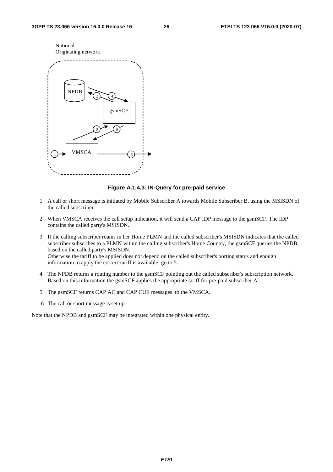

#### **Figure A.1.4.3: IN-Query for pre-paid service**

- 1 A call or short message is initiated by Mobile Subscriber A towards Mobile Subscriber B, using the MSISDN of the called subscriber.
- 2 When VMSCA receives the call setup indication, it will send a CAP IDP message to the gsmSCF. The IDP contains the called party's MSISDN.
- 3 If the calling subscriber roams in her Home PLMN and the called subscriber's MSISDN indicates that the called subscriber subscribes to a PLMN within the calling subscriber's Home Country, the gsmSCF queries the NPDB based on the called party's MSISDN. Otherwise the tariff to be applied does not depend on the called subscriber's porting status and enough information to apply the correct tariff is available; go to 5.
- 4 The NPDB returns a routing number to the gsmSCF pointing out the called subscriber's subscription network. Based on this information the gsmSCF applies the appropriate tariff for pre-paid subscriber A.
- 5 The gsmSCF returns CAP AC and CAP CUE messages to the VMSCA.
- 6 The call or short message is set up.

Note that the NPDB and gsmSCF may be integrated within one physical entity.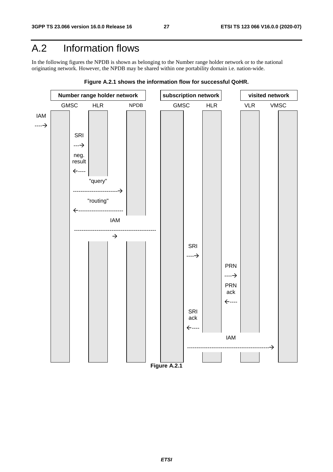## A.2 Information flows

In the following figures the NPDB is shown as belonging to the Number range holder network or to the national originating network. However, the NPDB may be shared within one portability domain i.e. nation-wide.



**Figure A.2.1 shows the information flow for successful QoHR.**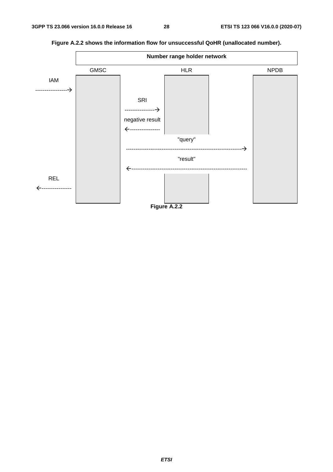

**Figure A.2.2 shows the information flow for unsuccessful QoHR (unallocated number).**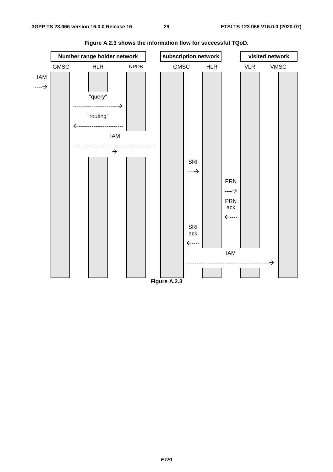

**Figure A.2.3 shows the information flow for successful TQoD.**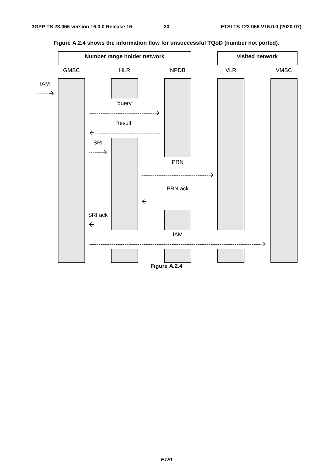

**Figure A.2.4 shows the information flow for unsuccessful TQoD (number not ported).**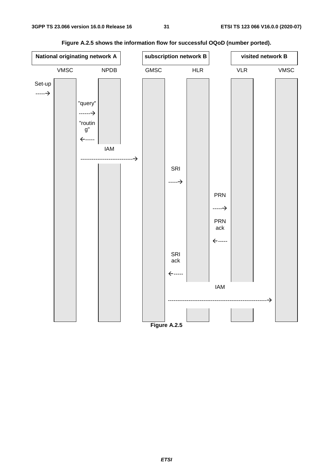

**Figure A.2.5 shows the information flow for successful OQoD (number ported).**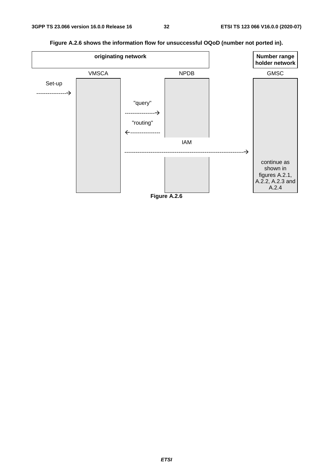

**Figure A.2.6 shows the information flow for unsuccessful OQoD (number not ported in).**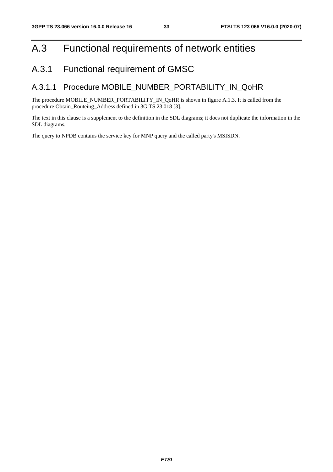## A.3 Functional requirements of network entities

## A.3.1 Functional requirement of GMSC

### A.3.1.1 Procedure MOBILE\_NUMBER\_PORTABILITY\_IN\_QoHR

The procedure MOBILE\_NUMBER\_PORTABILITY\_IN\_QoHR is shown in figure A.1.3. It is called from the procedure Obtain\_Routeing\_Address defined in 3G TS 23.018 [3].

The text in this clause is a supplement to the definition in the SDL diagrams; it does not duplicate the information in the SDL diagrams.

The query to NPDB contains the service key for MNP query and the called party's MSISDN.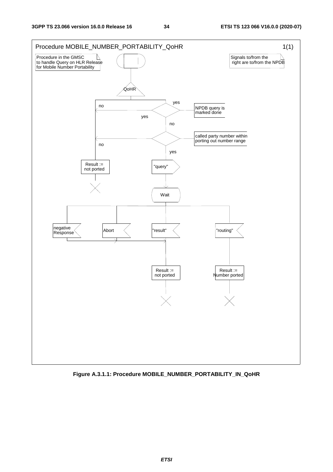

**Figure A.3.1.1: Procedure MOBILE\_NUMBER\_PORTABILITY\_IN\_QoHR**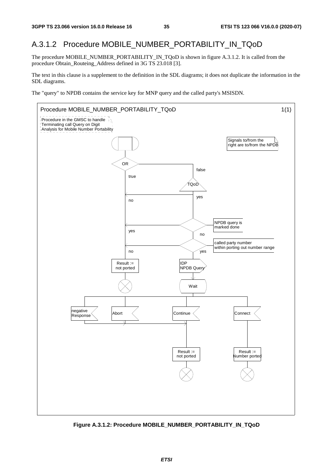### A.3.1.2 Procedure MOBILE\_NUMBER\_PORTABILITY\_IN\_TQoD

The procedure MOBILE\_NUMBER\_PORTABILITY\_IN\_TQoD is shown in figure A.3.1.2. It is called from the procedure Obtain\_Routeing\_Address defined in 3G TS 23.018 [3].

The text in this clause is a supplement to the definition in the SDL diagrams; it does not duplicate the information in the SDL diagrams.

The "query" to NPDB contains the service key for MNP query and the called party's MSISDN.



**Figure A.3.1.2: Procedure MOBILE\_NUMBER\_PORTABILITY\_IN\_TQoD**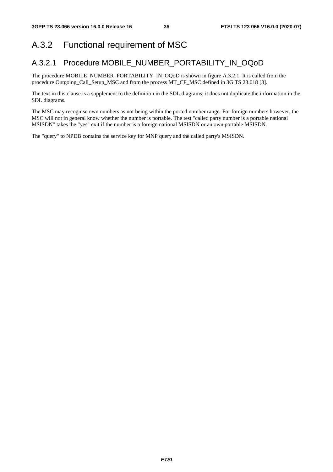### A.3.2 Functional requirement of MSC

#### A.3.2.1 Procedure MOBILE\_NUMBER\_PORTABILITY\_IN\_OQoD

The procedure MOBILE\_NUMBER\_PORTABILITY\_IN\_OQoD is shown in figure A.3.2.1. It is called from the procedure Outgoing\_Call\_Setup\_MSC and from the process MT\_CF\_MSC defined in 3G TS 23.018 [3].

The text in this clause is a supplement to the definition in the SDL diagrams; it does not duplicate the information in the SDL diagrams.

The MSC may recognise own numbers as not being within the ported number range. For foreign numbers however, the MSC will not in general know whether the number is portable. The test "called party number is a portable national MSISDN" takes the "yes" exit if the number is a foreign national MSISDN or an own portable MSISDN.

The "query" to NPDB contains the service key for MNP query and the called party's MSISDN.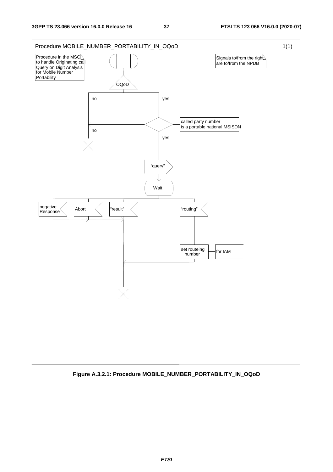

**Figure A.3.2.1: Procedure MOBILE\_NUMBER\_PORTABILITY\_IN\_OQoD**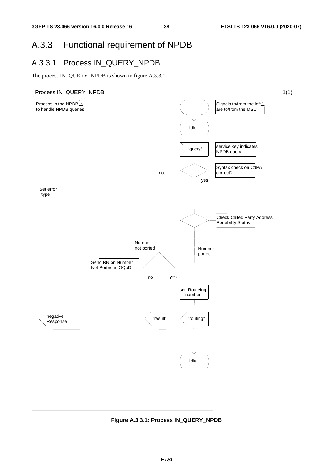## A.3.3 Functional requirement of NPDB

#### A.3.3.1 Process IN\_QUERY\_NPDB

The process IN\_QUERY\_NPDB is shown in figure A.3.3.1.



**Figure A.3.3.1: Process IN\_QUERY\_NPDB**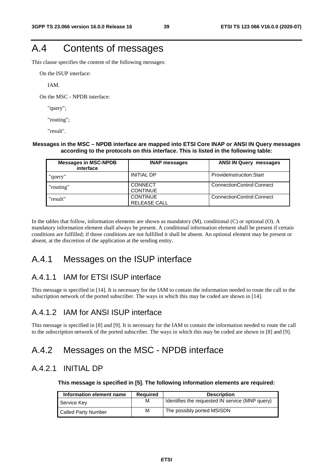# A.4 Contents of messages

This clause specifies the content of the following messages:

On the ISUP interface:

IAM.

On the MSC - NPDB interface:

"query";

"routing";

"result".

#### **Messages in the MSC – NPDB interface are mapped into ETSI Core INAP or ANSI IN Query messages according to the protocols on this interface. This is listed in the following table:**

| <b>Messages in MSC-NPDB</b><br>interface | <b>INAP messages</b>                   | <b>ANSI IN Query messages</b> |
|------------------------------------------|----------------------------------------|-------------------------------|
| "query"                                  | <b>INITIAL DP</b>                      | ProvideInstruction:Start      |
| "routing"                                | <b>CONNECT</b><br><b>CONTINUE</b>      | ConnectionControl:Connect     |
| "result"                                 | <b>CONTINUE</b><br><b>RELEASE CALL</b> | ConnectionControl:Connect     |

In the tables that follow, information elements are shown as mandatory (M), conditional (C) or optional (O). A mandatory information element shall always be present. A conditional information element shall be present if certain conditions are fulfilled; if those conditions are not fulfilled it shall be absent. An optional element may be present or absent, at the discretion of the application at the sending entity.

#### A.4.1 Messages on the ISUP interface

#### A.4.1.1 IAM for ETSI ISUP interface

This message is specified in [14]. It is necessary for the IAM to contain the information needed to route the call to the subscription network of the ported subscriber. The ways in which this may be coded are shown in [14].

#### A.4.1.2 IAM for ANSI ISUP interface

This message is specified in [8] and [9]. It is necessary for the IAM to contain the information needed to route the call to the subscription network of the ported subscriber. The ways in which this may be coded are shown in [8] and [9].

#### A.4.2 Messages on the MSC - NPDB interface

#### A.4.2.1 INITIAL DP

**This message is specified in [5]. The following information elements are required:** 

| Information element name   | Reauired | <b>Description</b>                              |
|----------------------------|----------|-------------------------------------------------|
| Service Key                | м        | Identifies the requested IN service (MNP query) |
| <b>Called Party Number</b> | М        | The possibly ported MSISDN                      |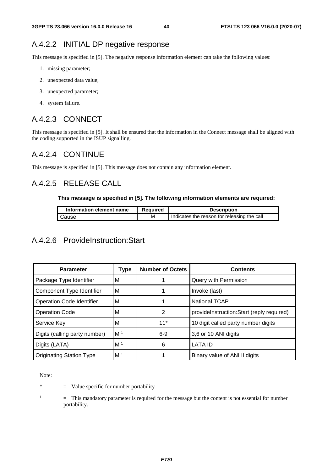#### A.4.2.2 INITIAL DP negative response

This message is specified in [5]. The negative response information element can take the following values:

- 1. missing parameter;
- 2. unexpected data value;
- 3. unexpected parameter;
- 4. system failure.

#### A.4.2.3 CONNECT

This message is specified in [5]. It shall be ensured that the information in the Connect message shall be aligned with the coding supported in the ISUP signalling.

#### A.4.2.4 CONTINUE

This message is specified in [5]. This message does not contain any information element.

#### A.4.2.5 RELEASE CALL

#### **This message is specified in [5]. The following information elements are required:**

| Information element name | Reauired | <b>Description</b>                          |
|--------------------------|----------|---------------------------------------------|
| I Cause                  | м        | Indicates the reason for releasing the call |

#### A.4.2.6 ProvideInstruction:Start

| <b>Parameter</b>                 | Type           | <b>Number of Octets</b> | <b>Contents</b>                           |
|----------------------------------|----------------|-------------------------|-------------------------------------------|
| Package Type Identifier          | м              |                         | Query with Permission                     |
| Component Type Identifier        | M              |                         | Invoke (last)                             |
| <b>Operation Code Identifier</b> | M              |                         | <b>National TCAP</b>                      |
| <b>Operation Code</b>            | М              | 2                       | provideInstruction:Start (reply required) |
| Service Key                      | м              | $11*$                   | 10 digit called party number digits       |
| Digits (calling party number)    | M <sup>1</sup> | $6-9$                   | 3,6 or 10 ANI digits                      |
| Digits (LATA)                    | M <sup>1</sup> | 6                       | <b>LATA ID</b>                            |
| <b>Originating Station Type</b>  | M <sup>1</sup> |                         | Binary value of ANI II digits             |

Note:

\* = Value specific for number portability

1

 = This mandatory parameter is required for the message but the content is not essential for number portability.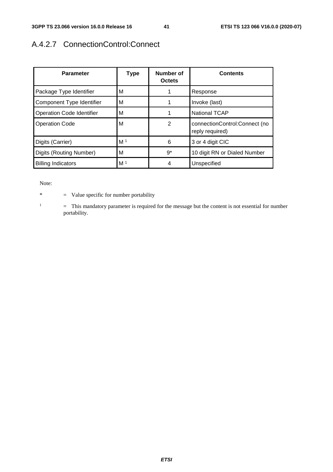### A.4.2.7 ConnectionControl:Connect

| <b>Parameter</b>                 | <b>Type</b>    | Number of<br><b>Octets</b> | <b>Contents</b>                                  |
|----------------------------------|----------------|----------------------------|--------------------------------------------------|
| Package Type Identifier          | м              |                            | Response                                         |
| Component Type Identifier        | м              |                            | Invoke (last)                                    |
| <b>Operation Code Identifier</b> | м              |                            | <b>National TCAP</b>                             |
| <b>Operation Code</b>            | м              | 2                          | connectionControl:Connect (no<br>reply required) |
| Digits (Carrier)                 | M <sup>1</sup> | 6                          | 3 or 4 digit CIC                                 |
| Digits (Routing Number)          | M              | $9^*$                      | 10 digit RN or Dialed Number                     |
| <b>Billing Indicators</b>        | M <sup>1</sup> | 4                          | Unspecified                                      |

Note:

\* = Value specific for number portability

1 = This mandatory parameter is required for the message but the content is not essential for number portability.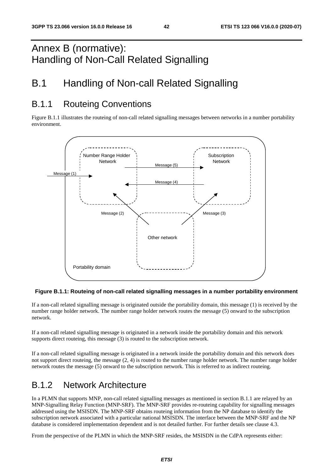# Annex B (normative): Handling of Non-Call Related Signalling

# B.1 Handling of Non-call Related Signalling

### B.1.1 Routeing Conventions

Figure B.1.1 illustrates the routeing of non-call related signalling messages between networks in a number portability environment.



#### **Figure B.1.1: Routeing of non-call related signalling messages in a number portability environment**

If a non-call related signalling message is originated outside the portability domain, this message (1) is received by the number range holder network. The number range holder network routes the message (5) onward to the subscription network.

If a non-call related signalling message is originated in a network inside the portability domain and this network supports direct routeing, this message (3) is routed to the subscription network.

If a non-call related signalling message is originated in a network inside the portability domain and this network does not support direct routeing, the message (2, 4) is routed to the number range holder network. The number range holder network routes the message (5) onward to the subscription network. This is referred to as indirect routeing.

## B.1.2 Network Architecture

In a PLMN that supports MNP, non-call related signalling messages as mentioned in section B.1.1 are relayed by an MNP-Signalling Relay Function (MNP-SRF). The MNP-SRF provides re-routeing capability for signalling messages addressed using the MSISDN. The MNP-SRF obtains routeing information from the NP database to identify the subscription network associated with a particular national MSISDN. The interface between the MNP-SRF and the NP database is considered implementation dependent and is not detailed further. For further details see clause 4.3.

From the perspective of the PLMN in which the MNP-SRF resides, the MSISDN in the CdPA represents either: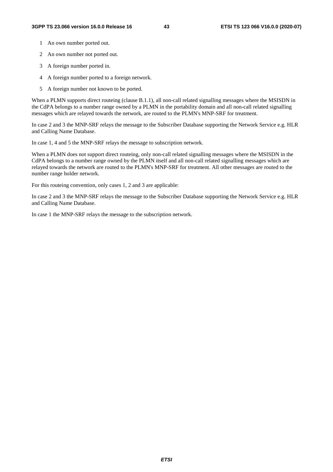- 1 An own number ported out.
- 2 An own number not ported out.
- 3 A foreign number ported in.
- 4 A foreign number ported to a foreign network.
- 5 A foreign number not known to be ported.

When a PLMN supports direct routeing (clause B.1.1), all non-call related signalling messages where the MSISDN in the CdPA belongs to a number range owned by a PLMN in the portability domain and all non-call related signalling messages which are relayed towards the network, are routed to the PLMN's MNP-SRF for treatment.

In case 2 and 3 the MNP-SRF relays the message to the Subscriber Database supporting the Network Service e.g. HLR and Calling Name Database.

In case 1, 4 and 5 the MNP-SRF relays the message to subscription network.

When a PLMN does not support direct routeing, only non-call related signalling messages where the MSISDN in the CdPA belongs to a number range owned by the PLMN itself and all non-call related signalling messages which are relayed towards the network are routed to the PLMN's MNP-SRF for treatment. All other messages are routed to the number range holder network.

For this routeing convention, only cases 1, 2 and 3 are applicable:

In case 2 and 3 the MNP-SRF relays the message to the Subscriber Database supporting the Network Service e.g. HLR and Calling Name Database.

In case 1 the MNP-SRF relays the message to the subscription network.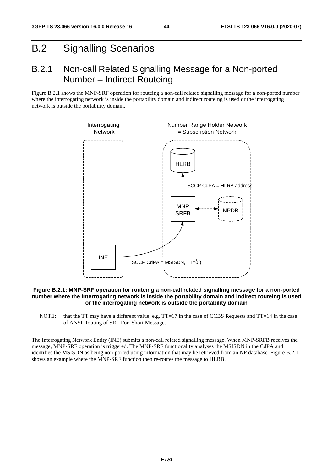# B.2 Signalling Scenarios

### B.2.1 Non-call Related Signalling Message for a Non-ported Number – Indirect Routeing

Figure B.2.1 shows the MNP-SRF operation for routeing a non-call related signalling message for a non-ported number where the interrogating network is inside the portability domain and indirect routeing is used or the interrogating network is outside the portability domain.



#### **Figure B.2.1: MNP-SRF operation for routeing a non-call related signalling message for a non-ported number where the interrogating network is inside the portability domain and indirect routeing is used or the interrogating network is outside the portability domain**

NOTE: that the TT may have a different value, e.g. TT=17 in the case of CCBS Requests and TT=14 in the case of ANSI Routing of SRI\_For\_Short Message.

The Interrogating Network Entity (INE) submits a non-call related signalling message. When MNP-SRFB receives the message, MNP-SRF operation is triggered. The MNP-SRF functionality analyses the MSISDN in the CdPA and identifies the MSISDN as being non-ported using information that may be retrieved from an NP database. Figure B.2.1 shows an example where the MNP-SRF function then re-routes the message to HLRB.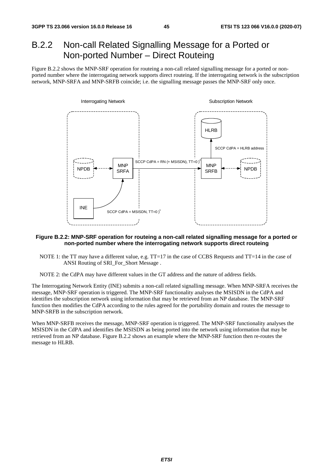## B.2.2 Non-call Related Signalling Message for a Ported or Non-ported Number – Direct Routeing

Figure B.2.2 shows the MNP-SRF operation for routeing a non-call related signalling message for a ported or nonported number where the interrogating network supports direct routeing. If the interrogating network is the subscription network, MNP-SRFA and MNP-SRFB coincide; i.e. the signalling message passes the MNP-SRF only once.



#### **Figure B.2.2: MNP-SRF operation for routeing a non-call related signalling message for a ported or non-ported number where the interrogating network supports direct routeing**

NOTE 1: the TT may have a different value, e.g. TT=17 in the case of CCBS Requests and TT=14 in the case of ANSI Routing of SRI\_For\_Short Message .

NOTE 2: the CdPA may have different values in the GT address and the nature of address fields.

The Interrogating Network Entity (INE) submits a non-call related signalling message. When MNP-SRFA receives the message, MNP-SRF operation is triggered. The MNP-SRF functionality analyses the MSISDN in the CdPA and identifies the subscription network using information that may be retrieved from an NP database. The MNP-SRF function then modifies the CdPA according to the rules agreed for the portability domain and routes the message to MNP-SRFB in the subscription network.

When MNP-SRFB receives the message, MNP-SRF operation is triggered. The MNP-SRF functionality analyses the MSISDN in the CdPA and identifies the MSISDN as being ported into the network using information that may be retrieved from an NP database. Figure B.2.2 shows an example where the MNP-SRF function then re-routes the message to HLRB.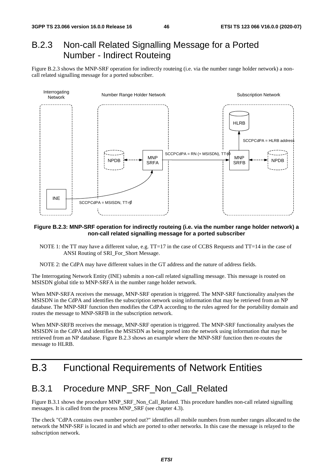### B.2.3 Non-call Related Signalling Message for a Ported Number - Indirect Routeing

Figure B.2.3 shows the MNP-SRF operation for indirectly routeing (i.e. via the number range holder network) a noncall related signalling message for a ported subscriber.



#### **Figure B.2.3: MNP-SRF operation for indirectly routeing (i.e. via the number range holder network) a non-call related signalling message for a ported subscriber**

- NOTE 1: the TT may have a different value, e.g. TT=17 in the case of CCBS Requests and TT=14 in the case of ANSI Routing of SRI\_For\_Short Message.
- NOTE 2: the CdPA may have different values in the GT address and the nature of address fields.

The Interrogating Network Entity (INE) submits a non-call related signalling message. This message is routed on MSISDN global title to MNP-SRFA in the number range holder network.

When MNP-SRFA receives the message, MNP-SRF operation is triggered. The MNP-SRF functionality analyses the MSISDN in the CdPA and identifies the subscription network using information that may be retrieved from an NP database. The MNP-SRF function then modifies the CdPA according to the rules agreed for the portability domain and routes the message to MNP-SRFB in the subscription network.

When MNP-SRFB receives the message, MNP-SRF operation is triggered. The MNP-SRF functionality analyses the MSISDN in the CdPA and identifies the MSISDN as being ported into the network using information that may be retrieved from an NP database. Figure B.2.3 shows an example where the MNP-SRF function then re-routes the message to HLRB.

## B.3 Functional Requirements of Network Entities

#### B.3.1 Procedure MNP\_SRF\_Non\_Call\_Related

Figure B.3.1 shows the procedure MNP\_SRF\_Non\_Call\_Related. This procedure handles non-call related signalling messages. It is called from the process MNP\_SRF (see chapter 4.3).

The check "CdPA contains own number ported out?" identifies all mobile numbers from number ranges allocated to the network the MNP-SRF is located in and which are ported to other networks. In this case the message is relayed to the subscription network.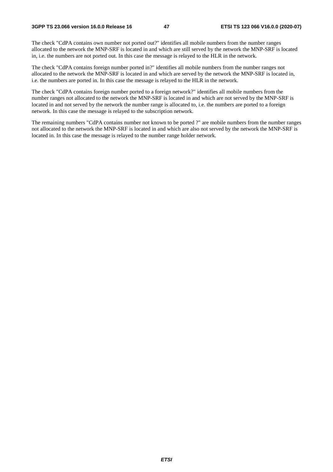The check "CdPA contains own number not ported out?" identifies all mobile numbers from the number ranges allocated to the network the MNP-SRF is located in and which are still served by the network the MNP-SRF is located in, i.e. the numbers are not ported out. In this case the message is relayed to the HLR in the network.

The check "CdPA contains foreign number ported in?" identifies all mobile numbers from the number ranges not allocated to the network the MNP-SRF is located in and which are served by the network the MNP-SRF is located in, i.e. the numbers are ported in. In this case the message is relayed to the HLR in the network.

The check "CdPA contains foreign number ported to a foreign network?" identifies all mobile numbers from the number ranges not allocated to the network the MNP-SRF is located in and which are not served by the MNP-SRF is located in and not served by the network the number range is allocated to, i.e. the numbers are ported to a foreign network. In this case the message is relayed to the subscription network.

The remaining numbers "CdPA contains number not known to be ported ?" are mobile numbers from the number ranges not allocated to the network the MNP-SRF is located in and which are also not served by the network the MNP-SRF is located in. In this case the message is relayed to the number range holder network.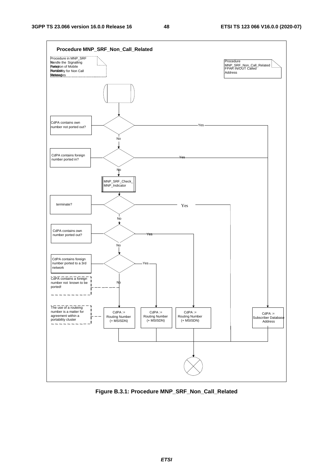

**Figure B.3.1: Procedure MNP\_SRF\_Non\_Call\_Related**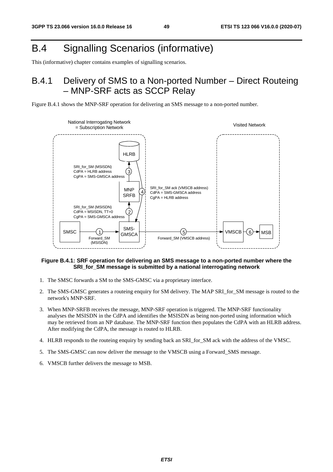# B.4 Signalling Scenarios (informative)

This (informative) chapter contains examples of signalling scenarios.

## B.4.1 Delivery of SMS to a Non-ported Number – Direct Routeing – MNP-SRF acts as SCCP Relay





#### **Figure B.4.1: SRF operation for delivering an SMS message to a non-ported number where the SRI\_for\_SM message is submitted by a national interrogating network**

- 1. The SMSC forwards a SM to the SMS-GMSC via a proprietary interface.
- 2. The SMS-GMSC generates a routeing enquiry for SM delivery. The MAP SRI\_for\_SM message is routed to the network's MNP-SRF.
- 3. When MNP-SRFB receives the message, MNP-SRF operation is triggered. The MNP-SRF functionality analyses the MSISDN in the CdPA and identifies the MSISDN as being non-ported using information which may be retrieved from an NP database. The MNP-SRF function then populates the CdPA with an HLRB address. After modifying the CdPA, the message is routed to HLRB.
- 4. HLRB responds to the routeing enquiry by sending back an SRI\_for\_SM ack with the address of the VMSC.
- 5. The SMS-GMSC can now deliver the message to the VMSCB using a Forward\_SMS message.
- 6. VMSCB further delivers the message to MSB.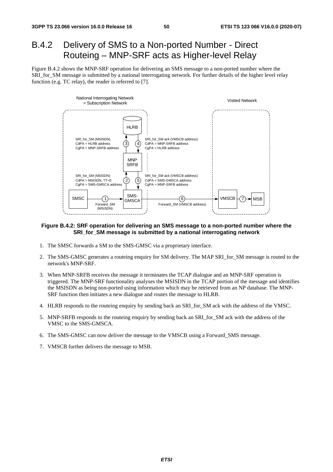### B.4.2 Delivery of SMS to a Non-ported Number - Direct Routeing – MNP-SRF acts as Higher-level Relay

Figure B.4.2 shows the MNP-SRF operation for delivering an SMS message to a non-ported number where the SRI\_for\_SM message is submitted by a national interrogating network. For further details of the higher level relay function (e.g. TC relay), the reader is referred to [7].



#### **Figure B.4.2: SRF operation for delivering an SMS message to a non-ported number where the SRI\_for\_SM message is submitted by a national interrogating network**

- 1. The SMSC forwards a SM to the SMS-GMSC via a proprietary interface.
- 2. The SMS-GMSC generates a routeing enquiry for SM delivery. The MAP SRI\_for\_SM message is routed to the network's MNP-SRF.
- 3. When MNP-SRFB receives the message it terminates the TCAP dialogue and an MNP-SRF operation is triggered. The MNP-SRF functionality analyses the MSISDN in the TCAP portion of the message and identifies the MSISDN as being non-ported using information which may be retrieved from an NP database. The MNP-SRF function then initiates a new dialogue and routes the message to HLRB.
- 4. HLRB responds to the routeing enquiry by sending back an SRI\_for\_SM ack with the address of the VMSC.
- 5. MNP-SRFB responds to the routeing enquiry by sending back an SRI\_for\_SM ack with the address of the VMSC to the SMS-GMSCA.
- 6. The SMS-GMSC can now deliver the message to the VMSCB using a Forward\_SMS message.
- 7. VMSCB further delivers the message to MSB.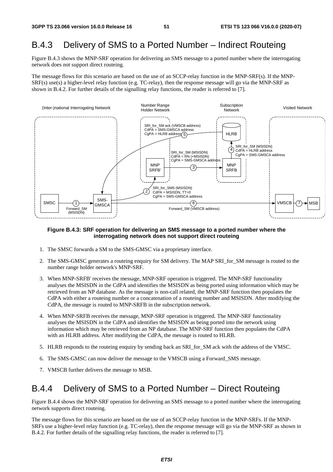### B.4.3 Delivery of SMS to a Ported Number – Indirect Routeing

Figure B.4.3 shows the MNP-SRF operation for delivering an SMS message to a ported number where the interrogating network does not support direct routeing.

The message flows for this scenario are based on the use of an SCCP-relay function in the MNP-SRF(s). If the MNP-SRF(s) use(s) a higher-level relay function (e.g. TC-relay), then the response message will go via the MNP-SRF as shown in B.4.2. For further details of the signalling relay functions, the reader is referred to [7].



#### **Figure B.4.3: SRF operation for delivering an SMS message to a ported number where the interrogating network does not support direct routeing**

- 1. The SMSC forwards a SM to the SMS-GMSC via a proprietary interface.
- 2. The SMS-GMSC generates a routeing enquiry for SM delivery. The MAP SRI\_for\_SM message is routed to the number range holder network's MNP-SRF.
- 3. When MNP-SRFB' receives the message, MNP-SRF operation is triggered. The MNP-SRF functionality analyses the MSISDN in the CdPA and identifies the MSISDN as being ported using information which may be retrieved from an NP database. As the message is non-call related, the MNP-SRF function then populates the CdPA with either a routeing number or a concatenation of a routeing number and MSISDN. After modifying the CdPA, the message is routed to MNP-SRFB in the subscription network.
- 4. When MNP-SRFB receives the message, MNP-SRF operation is triggered. The MNP-SRF functionality analyses the MSISDN in the CdPA and identifies the MSISDN as being ported into the network using information which may be retrieved from an NP database. The MNP-SRF function then populates the CdPA with an HLRB address. After modifying the CdPA, the message is routed to HLRB.
- 5. HLRB responds to the routeing enquiry by sending back an SRI\_for\_SM ack with the address of the VMSC.
- 6. The SMS-GMSC can now deliver the message to the VMSCB using a Forward\_SMS message.
- 7. VMSCB further delivers the message to MSB.

#### B.4.4 Delivery of SMS to a Ported Number – Direct Routeing

Figure B.4.4 shows the MNP-SRF operation for delivering an SMS message to a ported number where the interrogating network supports direct routeing.

The message flows for this scenario are based on the use of an SCCP-relay function in the MNP-SRFs. If the MNP-SRFs use a higher-level relay function (e.g. TC-relay), then the response message will go via the MNP-SRF as shown in B.4.2. For further details of the signalling relay functions, the reader is referred to [7].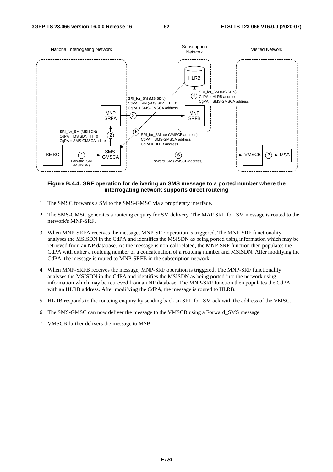

#### **Figure B.4.4: SRF operation for delivering an SMS message to a ported number where the interrogating network supports direct routeing**

- 1. The SMSC forwards a SM to the SMS-GMSC via a proprietary interface.
- 2. The SMS-GMSC generates a routeing enquiry for SM delivery. The MAP SRI\_for\_SM message is routed to the network's MNP-SRF.
- 3. When MNP-SRFA receives the message, MNP-SRF operation is triggered. The MNP-SRF functionality analyses the MSISDN in the CdPA and identifies the MSISDN as being ported using information which may be retrieved from an NP database. As the message is non-call related, the MNP-SRF function then populates the CdPA with either a routeing number or a concatenation of a routeing number and MSISDN. After modifying the CdPA, the message is routed to MNP-SRFB in the subscription network.
- 4. When MNP-SRFB receives the message, MNP-SRF operation is triggered. The MNP-SRF functionality analyses the MSISDN in the CdPA and identifies the MSISDN as being ported into the network using information which may be retrieved from an NP database. The MNP-SRF function then populates the CdPA with an HLRB address. After modifying the CdPA, the message is routed to HLRB.
- 5. HLRB responds to the routeing enquiry by sending back an SRI\_for\_SM ack with the address of the VMSC.
- 6. The SMS-GMSC can now deliver the message to the VMSCB using a Forward\_SMS message.
- 7. VMSCB further delivers the message to MSB.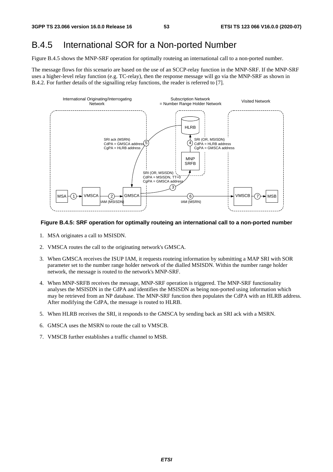#### B.4.5 International SOR for a Non-ported Number

Figure B.4.5 shows the MNP-SRF operation for optimally routeing an international call to a non-ported number.

The message flows for this scenario are based on the use of an SCCP-relay function in the MNP-SRF. If the MNP-SRF uses a higher-level relay function (e.g. TC-relay), then the response message will go via the MNP-SRF as shown in B.4.2. For further details of the signalling relay functions, the reader is referred to [7].



#### **Figure B.4.5: SRF operation for optimally routeing an international call to a non-ported number**

- 1. MSA originates a call to MSISDN.
- 2. VMSCA routes the call to the originating network's GMSCA.
- 3. When GMSCA receives the ISUP IAM, it requests routeing information by submitting a MAP SRI with SOR parameter set to the number range holder network of the dialled MSISDN. Within the number range holder network, the message is routed to the network's MNP-SRF.
- 4. When MNP-SRFB receives the message, MNP-SRF operation is triggered. The MNP-SRF functionality analyses the MSISDN in the CdPA and identifies the MSISDN as being non-ported using information which may be retrieved from an NP database. The MNP-SRF function then populates the CdPA with an HLRB address. After modifying the CdPA, the message is routed to HLRB.
- 5. When HLRB receives the SRI, it responds to the GMSCA by sending back an SRI ack with a MSRN.
- 6. GMSCA uses the MSRN to route the call to VMSCB.
- 7. VMSCB further establishes a traffic channel to MSB.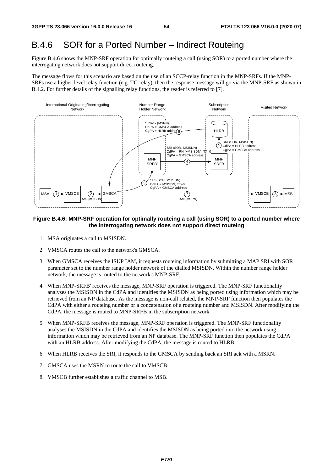### B.4.6 SOR for a Ported Number – Indirect Routeing

Figure B.4.6 shows the MNP-SRF operation for optimally routeing a call (using SOR) to a ported number where the interrogating network does not support direct routeing.

The message flows for this scenario are based on the use of an SCCP-relay function in the MNP-SRFs. If the MNP-SRFs use a higher-level relay function (e.g. TC-relay), then the response message will go via the MNP-SRF as shown in B.4.2. For further details of the signalling relay functions, the reader is referred to [7].



#### **Figure B.4.6: MNP-SRF operation for optimally routeing a call (using SOR) to a ported number where the interrogating network does not support direct routeing**

- 1. MSA originates a call to MSISDN.
- 2. VMSCA routes the call to the network's GMSCA.
- 3. When GMSCA receives the ISUP IAM, it requests routeing information by submitting a MAP SRI with SOR parameter set to the number range holder network of the dialled MSISDN. Within the number range holder network, the message is routed to the network's MNP-SRF.
- 4. When MNP-SRFB' receives the message, MNP-SRF operation is triggered. The MNP-SRF functionality analyses the MSISDN in the CdPA and identifies the MSISDN as being ported using information which may be retrieved from an NP database. As the message is non-call related, the MNP-SRF function then populates the CdPA with either a routeing number or a concatenation of a routeing number and MSISDN. After modifying the CdPA, the message is routed to MNP-SRFB in the subscription network.
- 5. When MNP-SRFB receives the message, MNP-SRF operation is triggered. The MNP-SRF functionality analyses the MSISDN in the CdPA and identifies the MSISDN as being ported into the network using information which may be retrieved from an NP database. The MNP-SRF function then populates the CdPA with an HLRB address. After modifying the CdPA, the message is routed to HLRB.
- 6. When HLRB receives the SRI, it responds to the GMSCA by sending back an SRI ack with a MSRN.
- 7. GMSCA uses the MSRN to route the call to VMSCB.
- 8. VMSCB further establishes a traffic channel to MSB.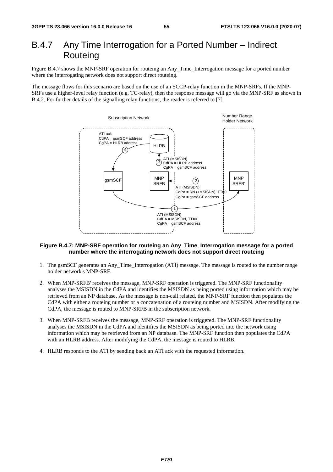### B.4.7 Any Time Interrogation for a Ported Number – Indirect **Routeing**

Figure B.4.7 shows the MNP-SRF operation for routeing an Any\_Time\_Interrogation message for a ported number where the interrogating network does not support direct routeing.

The message flows for this scenario are based on the use of an SCCP-relay function in the MNP-SRFs. If the MNP-SRFs use a higher-level relay function (e.g. TC-relay), then the response message will go via the MNP-SRF as shown in B.4.2. For further details of the signalling relay functions, the reader is referred to [7].



#### **Figure B.4.7: MNP-SRF operation for routeing an Any\_Time\_Interrogation message for a ported number where the interrogating network does not support direct routeing**

- 1. The gsmSCF generates an Any\_Time\_Interrogation (ATI) message. The message is routed to the number range holder network's MNP-SRF.
- 2. When MNP-SRFB' receives the message, MNP-SRF operation is triggered. The MNP-SRF functionality analyses the MSISDN in the CdPA and identifies the MSISDN as being ported using information which may be retrieved from an NP database. As the message is non-call related, the MNP-SRF function then populates the CdPA with either a routeing number or a concatenation of a routeing number and MSISDN. After modifying the CdPA, the message is routed to MNP-SRFB in the subscription network.
- 3. When MNP-SRFB receives the message, MNP-SRF operation is triggered. The MNP-SRF functionality analyses the MSISDN in the CdPA and identifies the MSISDN as being ported into the network using information which may be retrieved from an NP database. The MNP-SRF function then populates the CdPA with an HLRB address. After modifying the CdPA, the message is routed to HLRB.
- 4. HLRB responds to the ATI by sending back an ATI ack with the requested information.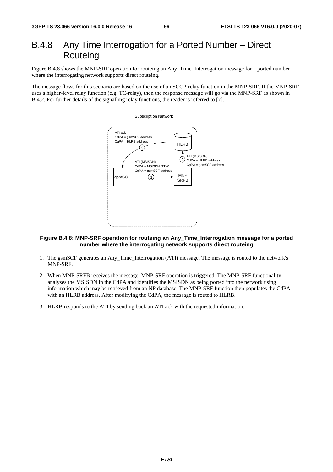### B.4.8 Any Time Interrogation for a Ported Number – Direct Routeing

Figure B.4.8 shows the MNP-SRF operation for routeing an Any\_Time\_Interrogation message for a ported number where the interrogating network supports direct routeing.

The message flows for this scenario are based on the use of an SCCP-relay function in the MNP-SRF. If the MNP-SRF uses a higher-level relay function (e.g. TC-relay), then the response message will go via the MNP-SRF as shown in B.4.2. For further details of the signalling relay functions, the reader is referred to [7].



#### **Figure B.4.8: MNP-SRF operation for routeing an Any\_Time\_Interrogation message for a ported number where the interrogating network supports direct routeing**

- 1. The gsmSCF generates an Any\_Time\_Interrogation (ATI) message. The message is routed to the network's MNP-SRF.
- 2. When MNP-SRFB receives the message, MNP-SRF operation is triggered. The MNP-SRF functionality analyses the MSISDN in the CdPA and identifies the MSISDN as being ported into the network using information which may be retrieved from an NP database. The MNP-SRF function then populates the CdPA with an HLRB address. After modifying the CdPA, the message is routed to HLRB.
- 3. HLRB responds to the ATI by sending back an ATI ack with the requested information.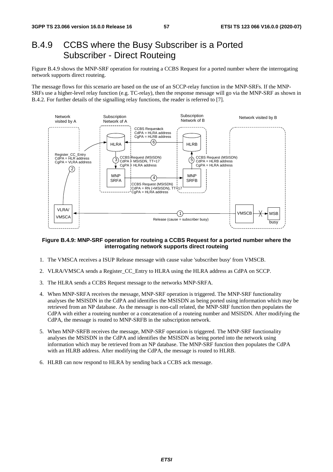### B.4.9 CCBS where the Busy Subscriber is a Ported Subscriber - Direct Routeing

Figure B.4.9 shows the MNP-SRF operation for routeing a CCBS Request for a ported number where the interrogating network supports direct routeing.

The message flows for this scenario are based on the use of an SCCP-relay function in the MNP-SRFs. If the MNP-SRFs use a higher-level relay function (e.g. TC-relay), then the response message will go via the MNP-SRF as shown in B.4.2. For further details of the signalling relay functions, the reader is referred to [7].



#### **Figure B.4.9: MNP-SRF operation for routeing a CCBS Request for a ported number where the interrogating network supports direct routeing**

- 1. The VMSCA receives a ISUP Release message with cause value 'subscriber busy' from VMSCB.
- 2. VLRA/VMSCA sends a Register\_CC\_Entry to HLRA using the HLRA address as CdPA on SCCP.
- 3. The HLRA sends a CCBS Request message to the networks MNP-SRFA.
- 4. When MNP-SRFA receives the message, MNP-SRF operation is triggered. The MNP-SRF functionality analyses the MSISDN in the CdPA and identifies the MSISDN as being ported using information which may be retrieved from an NP database. As the message is non-call related, the MNP-SRF function then populates the CdPA with either a routeing number or a concatenation of a routeing number and MSISDN. After modifying the CdPA, the message is routed to MNP-SRFB in the subscription network.
- 5. When MNP-SRFB receives the message, MNP-SRF operation is triggered. The MNP-SRF functionality analyses the MSISDN in the CdPA and identifies the MSISDN as being ported into the network using information which may be retrieved from an NP database. The MNP-SRF function then populates the CdPA with an HLRB address. After modifying the CdPA, the message is routed to HLRB.
- 6. HLRB can now respond to HLRA by sending back a CCBS ack message.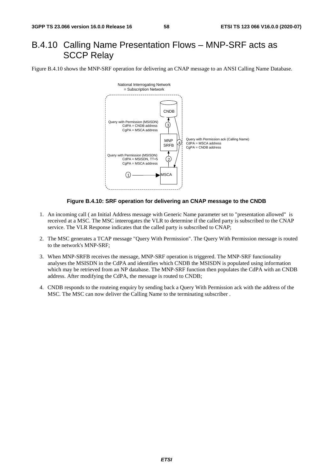### B.4.10 Calling Name Presentation Flows – MNP-SRF acts as SCCP Relay

Figure B.4.10 shows the MNP-SRF operation for delivering an CNAP message to an ANSI Calling Name Database.



#### **Figure B.4.10: SRF operation for delivering an CNAP message to the CNDB**

- 1. An incoming call ( an Initial Address message with Generic Name parameter set to "presentation allowed" is received at a MSC. The MSC inteerogates the VLR to determine if the called party is subscribed to the CNAP service. The VLR Response indicates that the called party is subscribed to CNAP;
- 2. The MSC generates a TCAP message "Query With Permission". The Query With Permission message is routed to the network's MNP-SRF;
- 3. When MNP-SRFB receives the message, MNP-SRF operation is triggered. The MNP-SRF functionality analyses the MSISDN in the CdPA and identifies which CNDB the MSISDN is populated using information which may be retrieved from an NP database. The MNP-SRF function then populates the CdPA with an CNDB address. After modifying the CdPA, the message is routed to CNDB;
- 4. CNDB responds to the routeing enquiry by sending back a Query With Permission ack with the address of the MSC. The MSC can now deliver the Calling Name to the terminating subscriber .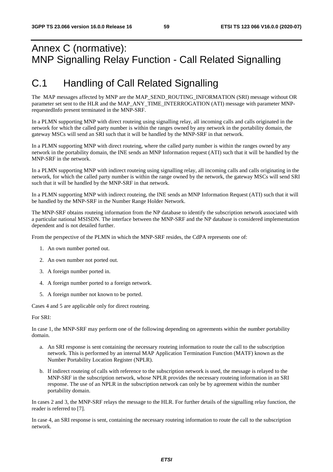# Annex C (normative): MNP Signalling Relay Function - Call Related Signalling

# C.1 Handling of Call Related Signalling

The MAP messages affected by MNP are the MAP\_SEND\_ROUTING\_INFORMATION (SRI) message without OR parameter set sent to the HLR and the MAP\_ANY\_TIME\_INTERROGATION (ATI) message with parameter MNPrequestedInfo present terminated in the MNP-SRF.

In a PLMN supporting MNP with direct routeing using signalling relay, all incoming calls and calls originated in the network for which the called party number is within the ranges owned by any network in the portability domain, the gateway MSCs will send an SRI such that it will be handled by the MNP-SRF in that network.

In a PLMN supporting MNP with direct routeing, where the called party number is within the ranges owned by any network in the portability domain, the INE sends an MNP Information request (ATI) such that it will be handled by the MNP-SRF in the network.

In a PLMN supporting MNP with indirect routeing using signalling relay, all incoming calls and calls originating in the network, for which the called party number is within the range owned by the network, the gateway MSCs will send SRI such that it will be handled by the MNP-SRF in that network.

In a PLMN supporting MNP with indirect routeing, the INE sends an MNP Information Request (ATI) such that it will be handled by the MNP-SRF in the Number Range Holder Network.

The MNP-SRF obtains routeing information from the NP database to identify the subscription network associated with a particular national MSISDN. The interface between the MNP-SRF and the NP database is considered implementation dependent and is not detailed further.

From the perspective of the PLMN in which the MNP-SRF resides, the CdPA represents one of:

- 1. An own number ported out.
- 2. An own number not ported out.
- 3. A foreign number ported in.
- 4. A foreign number ported to a foreign network.
- 5. A foreign number not known to be ported.

Cases 4 and 5 are applicable only for direct routeing.

For SRI:

In case 1, the MNP-SRF may perform one of the following depending on agreements within the number portability domain.

- a. An SRI response is sent containing the necessary routeing information to route the call to the subscription network. This is performed by an internal MAP Application Termination Function (MATF) known as the Number Portability Location Register (NPLR).
- b. If indirect routeing of calls with reference to the subscription network is used, the message is relayed to the MNP-SRF in the subscription network, whose NPLR provides the necessary routeing information in an SRI response. The use of an NPLR in the subscription network can only be by agreement within the number portability domain.

In cases 2 and 3, the MNP-SRF relays the message to the HLR. For further details of the signalling relay function, the reader is referred to [7].

In case 4, an SRI response is sent, containing the necessary routeing information to route the call to the subscription network.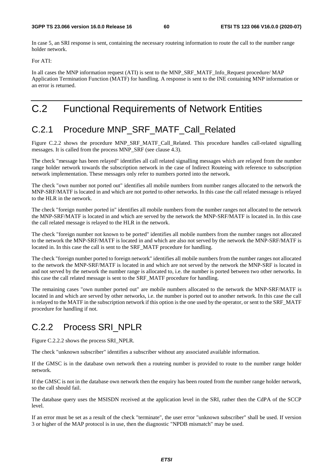In case 5, an SRI response is sent, containing the necessary routeing information to route the call to the number range holder network.

For ATI:

In all cases the MNP information request (ATI) is sent to the MNP\_SRF\_MATF\_Info\_Request procedure/ MAP Application Termination Function (MATF) for handling. A response is sent to the INE containing MNP information or an error is returned.

# C.2 Functional Requirements of Network Entities

## C.2.1 Procedure MNP\_SRF\_MATF\_Call\_Related

Figure C.2.2 shows the procedure MNP\_SRF\_MATF\_Call\_Related. This procedure handles call-related signalling messages. It is called from the process MNP\_SRF (see clause 4.3).

The check "message has been relayed" identifies all call related signalling messages which are relayed from the number range holder network towards the subscription network in the case of Indirect Routeing with reference to subscription network implementation. These messages only refer to numbers ported into the network.

The check "own number not ported out" identifies all mobile numbers from number ranges allocated to the network the MNP-SRF/MATF is located in and which are not ported to other networks. In this case the call related message is relayed to the HLR in the network.

The check "foreign number ported in" identifies all mobile numbers from the number ranges not allocated to the network the MNP-SRF/MATF is located in and which are served by the network the MNP-SRF/MATF is located in. In this case the call related message is relayed to the HLR in the network.

The check "foreign number not known to be ported" identifies all mobile numbers from the number ranges not allocated to the network the MNP-SRF/MATF is located in and which are also not served by the network the MNP-SRF/MATF is located in. In this case the call is sent to the SRF\_MATF procedure for handling.

The check "foreign number ported to foreign network" identifies all mobile numbers from the number ranges not allocated to the network the MNP-SRF/MATF is located in and which are not served by the network the MNP-SRF is located in and not served by the network the number range is allocated to, i.e. the number is ported between two other networks. In this case the call related message is sent to the SRF\_MATF procedure for handling.

The remaining cases "own number ported out" are mobile numbers allocated to the network the MNP-SRF/MATF is located in and which are served by other networks, i.e. the number is ported out to another network. In this case the call is relayed to the MATF in the subscription network if this option is the one used by the operator, or sent to the SRF\_MATF procedure for handling if not.

# C.2.2 Process SRI\_NPLR

Figure C.2.2.2 shows the process SRI\_NPLR.

The check "unknown subscriber" identifies a subscriber without any associated available information.

If the GMSC is in the database own network then a routeing number is provided to route to the number range holder network.

If the GMSC is not in the database own network then the enquiry has been routed from the number range holder network, so the call should fail.

The database query uses the MSISDN received at the application level in the SRI, rather then the CdPA of the SCCP level.

If an error must be set as a result of the check "terminate", the user error "unknown subscriber" shall be used. If version 3 or higher of the MAP protocol is in use, then the diagnostic "NPDB mismatch" may be used.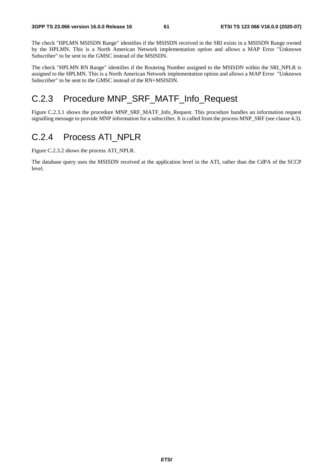The check "HPLMN MSISDN Range" identifies if the MSISDN received in the SRI exists in a MSISDN Range owned by the HPLMN. This is a North American Network implementation option and allows a MAP Error "Unknown Subscriber" to be sent to the GMSC instead of the MSISDN.

The check "HPLMN RN Range" identifies if the Routeing Number assigned to the MSISDN within the SRI\_NPLR is assigned to the HPLMN. This is a North American Network implementation option and allows a MAP Error "Unknown Subscriber" to be sent to the GMSC instead of the RN+MSISDN.

### C.2.3 Procedure MNP\_SRF\_MATF\_Info\_Request

Figure C.2.3.1 shows the procedure MNP\_SRF\_MATF\_Info\_Request. This procedure handles an information request signalling message to provide MNP information for a subscriber. It is called from the process MNP\_SRF (see clause 4.3).

#### C.2.4 Process ATI\_NPLR

Figure C.2.3.2 shows the process ATI\_NPLR.

The database query uses the MSISDN received at the application level in the ATI, rather than the CdPA of the SCCP level.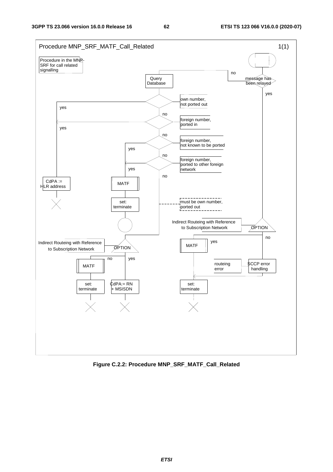

**Figure C.2.2: Procedure MNP\_SRF\_MATF\_Call\_Related**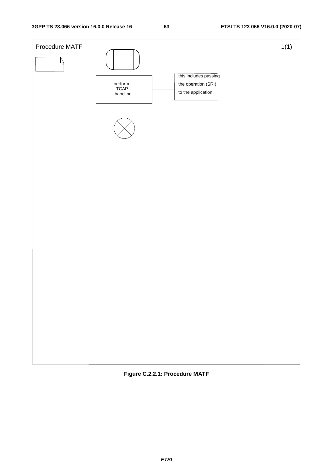

**Figure C.2.2.1: Procedure MATF**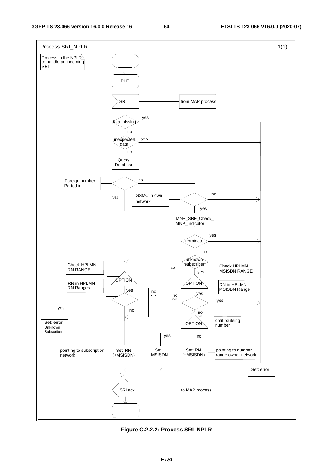

**Figure C.2.2.2: Process SRI\_NPLR**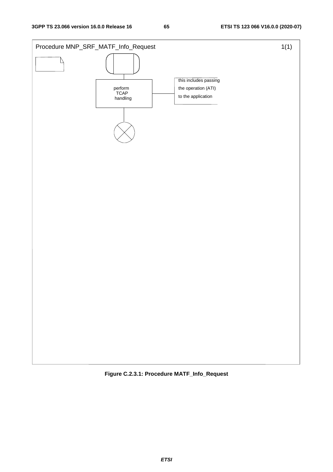

**Figure C.2.3.1: Procedure MATF\_Info\_Request**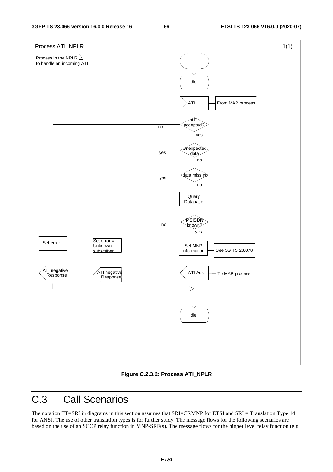

**Figure C.2.3.2: Process ATI\_NPLR** 

# C.3 Call Scenarios

The notation TT=SRI in diagrams in this section assumes that SRI=CRMNP for ETSI and SRI = Translation Type 14 for ANSI. The use of other translation types is for further study. The message flows for the following scenarios are based on the use of an SCCP relay function in MNP-SRF(s). The message flows for the higher level relay function (e.g.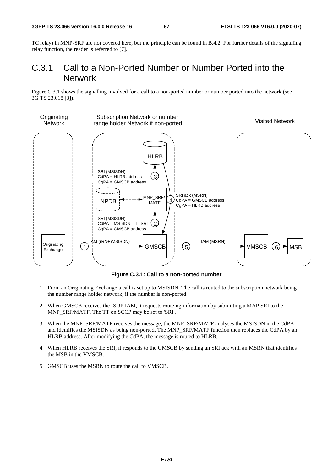TC relay) in MNP-SRF are not covered here, but the principle can be found in B.4.2. For further details of the signalling relay function, the reader is referred to [7].

### C.3.1 Call to a Non-Ported Number or Number Ported into the Network

Figure C.3.1 shows the signalling involved for a call to a non-ported number or number ported into the network (see 3G TS 23.018 [3]).



**Figure C.3.1: Call to a non-ported number** 

- 1. From an Originating Exchange a call is set up to MSISDN. The call is routed to the subscription network being the number range holder network, if the number is non-ported.
- 2. When GMSCB receives the ISUP IAM, it requests routeing information by submitting a MAP SRI to the MNP\_SRF/MATF. The TT on SCCP may be set to 'SRI'.
- 3. When the MNP\_SRF/MATF receives the message, the MNP\_SRF/MATF analyses the MSISDN in the CdPA and identifies the MSISDN as being non-ported. The MNP\_SRF/MATF function then replaces the CdPA by an HLRB address. After modifying the CdPA, the message is routed to HLRB.
- 4. When HLRB receives the SRI, it responds to the GMSCB by sending an SRI ack with an MSRN that identifies the MSB in the VMSCB.
- 5. GMSCB uses the MSRN to route the call to VMSCB.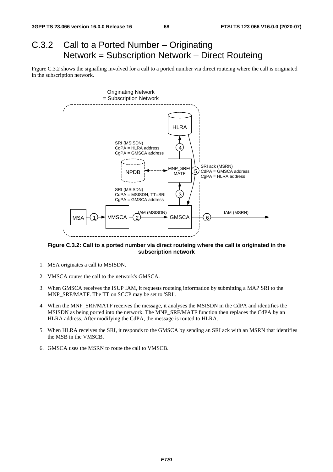# C.3.2 Call to a Ported Number – Originating Network = Subscription Network – Direct Routeing

Figure C.3.2 shows the signalling involved for a call to a ported number via direct routeing where the call is originated in the subscription network.



**Figure C.3.2: Call to a ported number via direct routeing where the call is originated in the subscription network** 

- 1. MSA originates a call to MSISDN.
- 2. VMSCA routes the call to the network's GMSCA.
- 3. When GMSCA receives the ISUP IAM, it requests routeing information by submitting a MAP SRI to the MNP\_SRF/MATF. The TT on SCCP may be set to 'SRI'.
- 4. When the MNP\_SRF/MATF receives the message, it analyses the MSISDN in the CdPA and identifies the MSISDN as being ported into the network. The MNP\_SRF/MATF function then replaces the CdPA by an HLRA address. After modifying the CdPA, the message is routed to HLRA.
- 5. When HLRA receives the SRI, it responds to the GMSCA by sending an SRI ack with an MSRN that identifies the MSB in the VMSCB.
- 6. GMSCA uses the MSRN to route the call to VMSCB.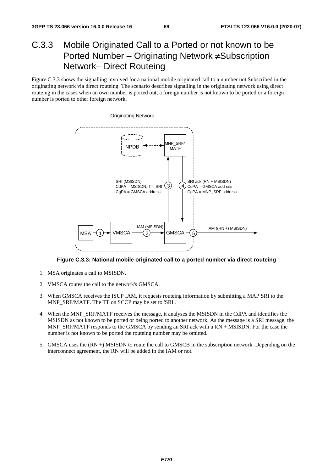## C.3.3 Mobile Originated Call to a Ported or not known to be Ported Number – Originating Network ≠Subscription Network– Direct Routeing

Figure C.3.3 shows the signalling involved for a national mobile originated call to a number not Subscribed in the originating network via direct routeing. The scenario describes signalling in the originating network using direct routeing in the cases when an own number is ported out, a foreign number is not known to be ported or a foreign number is ported to other foreign network.



#### **Figure C.3.3: National mobile originated call to a ported number via direct routeing**

- 1. MSA originates a call to MSISDN.
- 2. VMSCA routes the call to the network's GMSCA.
- 3. When GMSCA receives the ISUP IAM, it requests routeing information by submitting a MAP SRI to the MNP\_SRF/MATF. The TT on SCCP may be set to 'SRI'.
- 4. When the MNP\_SRF/MATF receives the message, it analyses the MSISDN in the CdPA and identifies the MSISDN as not known to be ported or being ported to another network. As the message is a SRI message, the MNP\_SRF/MATF responds to the GMSCA by sending an SRI ack with a RN + MSISDN; For the case the number is not known to be ported the routeing number may be omitted.
- 5. GMSCA uses the (RN +) MSISDN to route the call to GMSCB in the subscription network. Depending on the interconnect agreement, the RN will be added in the IAM or not.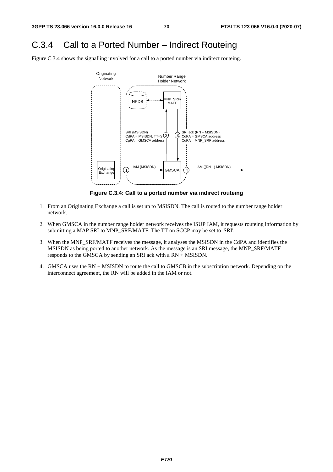#### C.3.4 Call to a Ported Number – Indirect Routeing

Figure C.3.4 shows the signalling involved for a call to a ported number via indirect routeing.



**Figure C.3.4: Call to a ported number via indirect routeing** 

- 1. From an Originating Exchange a call is set up to MSISDN. The call is routed to the number range holder network.
- 2. When GMSCA in the number range holder network receives the ISUP IAM, it requests routeing information by submitting a MAP SRI to MNP\_SRF/MATF. The TT on SCCP may be set to 'SRI'.
- 3. When the MNP\_SRF/MATF receives the message, it analyses the MSISDN in the CdPA and identifies the MSISDN as being ported to another network. As the message is an SRI message, the MNP\_SRF/MATF responds to the GMSCA by sending an SRI ack with a RN + MSISDN.
- 4. GMSCA uses the RN + MSISDN to route the call to GMSCB in the subscription network. Depending on the interconnect agreement, the RN will be added in the IAM or not.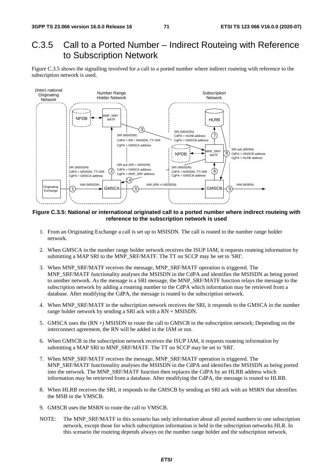### C.3.5 Call to a Ported Number – Indirect Routeing with Reference to Subscription Network

Figure C.3.5 shows the signalling involved for a call to a ported number where indirect routeing with reference to the subscription network is used.



#### **Figure C.3.5: National or international originated call to a ported number where indirect routeing with reference to the subscription network is used**

- 1. From an Originating Exchange a call is set up to MSISDN. The call is routed to the number range holder network.
- 2. When GMSCA in the number range holder network receives the ISUP IAM, it requests routeing information by submitting a MAP SRI to the MNP\_SRF/MATF. The TT on SCCP may be set to 'SRI'.
- 3. When MNP\_SRF/MATF receives the message, MNP\_SRF/MATF operation is triggered. The MNP\_SRF/MATF functionality analyses the MSISDN in the CdPA and identifies the MSISDN as being ported to another network. As the message is a SRI message, the MNP\_SRF/MATF function relays the message to the subscription network by adding a routeing number to the CdPA which information may be retrieved from a database. After modifying the CdPA, the message is routed to the subscription network.
- 4. When MNP\_SRF/MATF in the subscription network receives the SRI, it responds to the GMSCA in the number range holder network by sending a SRI ack with a RN + MSISDN.
- 5. GMSCA uses the (RN +) MSISDN to route the call to GMSCB in the subscription network; Depending on the interconnect agreement, the RN will be added in the IAM or not.
- 6. When GMSCB in the subscription network receives the ISUP IAM, it requests routeing information by submitting a MAP SRI to MNP\_SRF/MATF. The TT on SCCP may be set to 'SRI'.
- 7. When MNP\_SRF/MATF receives the message, MNP\_SRF/MATF operation is triggered. The MNP\_SRF/MATF functionality analyses the MSISDN in the CdPA and identifies the MSISDN as being ported into the network. The MNP\_SRF/MATF function then replaces the CdPA by an HLRB address which information may be retrieved from a database. After modifying the CdPA, the message is routed to HLRB.
- 8. When HLRB receives the SRI, it responds to the GMSCB by sending an SRI ack with an MSRN that identifies the MSB in the VMSCB.
- 9. GMSCB uses the MSRN to route the call to VMSCB.
- NOTE: The MNP\_SRF/MATF in this scenario has only information about all ported numbers to one subscription network, except those for which subscription information is held in the subscription networks HLR. In this scenario the routeing depends always on the number range holder and the subscription network.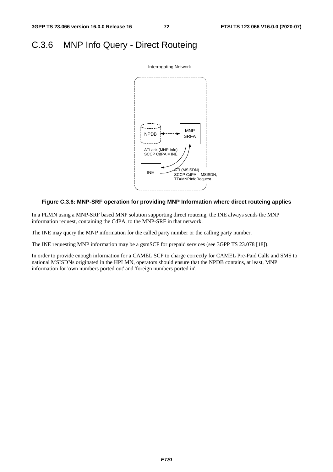### C.3.6 MNP Info Query - Direct Routeing



#### **Figure C.3.6: MNP-SRF operation for providing MNP Information where direct routeing applies**

In a PLMN using a MNP-SRF based MNP solution supporting direct routeing, the INE always sends the MNP information request, containing the CdPA, to the MNP-SRF in that network.

The INE may query the MNP information for the called party number or the calling party number.

The INE requesting MNP information may be a gsmSCF for prepaid services (see 3GPP TS 23.078 [18]).

In order to provide enough information for a CAMEL SCP to charge correctly for CAMEL Pre-Paid Calls and SMS to national MSISDNs originated in the HPLMN, operators should ensure that the NPDB contains, at least, MNP information for 'own numbers ported out' and 'foreign numbers ported in'.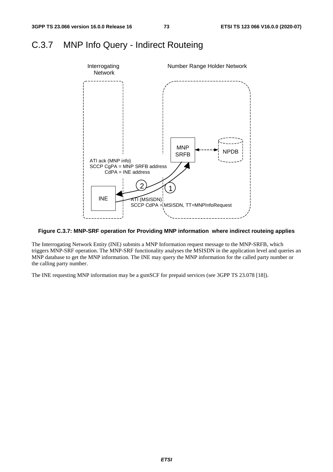## C.3.7 MNP Info Query - Indirect Routeing



#### **Figure C.3.7: MNP-SRF operation for Providing MNP information where indirect routeing applies**

The Interrogating Network Entity (INE) submits a MNP Information request message to the MNP-SRFB, which triggers MNP-SRF operation. The MNP-SRF functionality analyses the MSISDN in the application level and queries an MNP database to get the MNP information. The INE may query the MNP information for the called party number or the calling party number.

The INE requesting MNP information may be a gsmSCF for prepaid services (see 3GPP TS 23.078 [18]).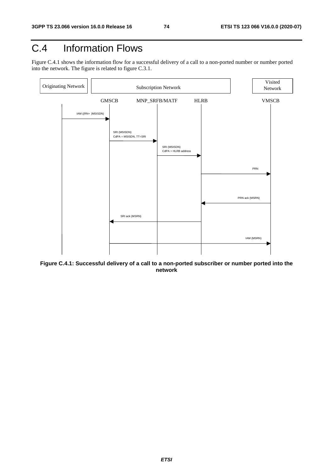## C.4 Information Flows

Figure C.4.1 shows the information flow for a successful delivery of a call to a non-ported number or number ported into the network. The figure is related to figure C.3.1.



**Figure C.4.1: Successful delivery of a call to a non-ported subscriber or number ported into the network**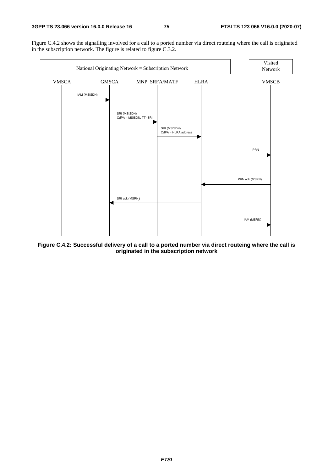Figure C.4.2 shows the signalling involved for a call to a ported number via direct routeing where the call is originated in the subscription network. The figure is related to figure C.3.2.



**Figure C.4.2: Successful delivery of a call to a ported number via direct routeing where the call is originated in the subscription network**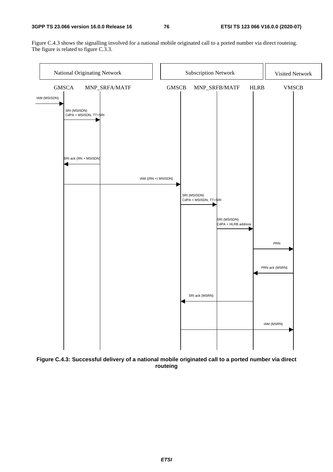#### **3GPP TS 23.066 version 16.0.0 Release 16 76 ETSI TS 123 066 V16.0.0 (2020-07)**

Figure C.4.3 shows the signalling involved for a national mobile originated call to a ported number via direct routeing. The figure is related to figure C.3.3.



**Figure C.4.3: Successful delivery of a national mobile originated call to a ported number via direct routeing** 

*ETSI*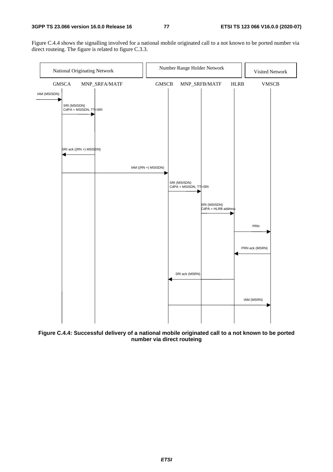Figure C.4.4 shows the signalling involved for a national mobile originated call to a not known to be ported number via direct routeing. The figure is related to figure C.3.3.



**Figure C.4.4: Successful delivery of a national mobile originated call to a not known to be ported number via direct routeing**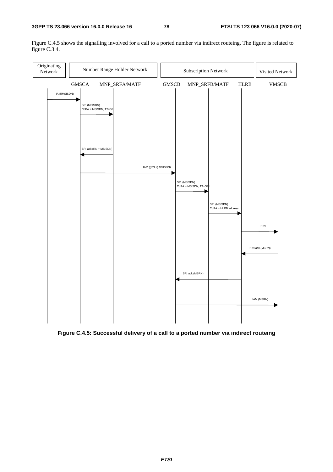Subscription Network | Visited Network IAM(MSISDN) IAM (MSRN) SRI (MSISDN) CdPA = MSISDN, TT=SRI IAM ((RN +) MSISDN) GMSCA MNP\_SRFA/MATF GMSCB MNP\_SRFB/MATF HLRB VMSCB SRI (MSISDN) CdPA = MSISDN, TT=SRI SRI (MSISDN) CdPA = HLRB address SRI ack (RN + MSISDN) SRI ack (MSRN) PRN PRN ack (MSRN) Originating<br>Network Number Range Holder Network

Figure C.4.5 shows the signalling involved for a call to a ported number via indirect routeing. The figure is related to figure C.3.4.

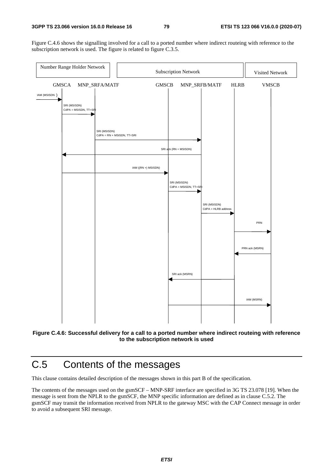Figure C.4.6 shows the signalling involved for a call to a ported number where indirect routeing with reference to the subscription network is used. The figure is related to figure C.3.5.





## C.5 Contents of the messages

This clause contains detailed description of the messages shown in this part B of the specification.

The contents of the messages used on the gsmSCF – MNP-SRF interface are specified in 3G TS 23.078 [19]. When the message is sent from the NPLR to the gsmSCF, the MNP specific information are defined as in clause C.5.2. The gsmSCF may transit the information received from NPLR to the gateway MSC with the CAP Connect message in order to avoid a subsequent SRI message.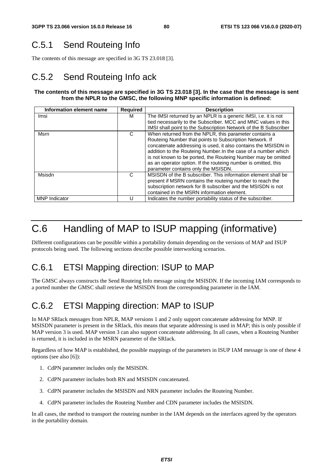## C.5.1 Send Routeing Info

The contents of this message are specified in 3G TS 23.018 [3].

## C.5.2 Send Routeing Info ack

#### **The contents of this message are specified in 3G TS 23.018 [3]. In the case that the message is sent from the NPLR to the GMSC, the following MNP specific information is defined:**

| Information element name | <b>Required</b> | <b>Description</b>                                               |
|--------------------------|-----------------|------------------------------------------------------------------|
| Imsi                     | м               | The IMSI returned by an NPLR is a generic IMSI, i.e. it is not   |
|                          |                 | tied necessarily to the Subscriber. MCC and MNC values in this   |
|                          |                 | IMSI shall point to the Subscription Network of the B Subscriber |
| Msrn                     | C               | When returned from the NPLR, this parameter contains a           |
|                          |                 | Routeing Number that points to Subscription Network. If          |
|                          |                 | concatenate addressing is used, it also contains the MSISDN in   |
|                          |                 | addition to the Routeing Number. In the case of a number which   |
|                          |                 | is not known to be ported, the Routeing Number may be omitted    |
|                          |                 | as an operator option. If the routeing number is omitted, this   |
|                          |                 | parameter contains only the MSISDN.                              |
| Msisdn                   | С               | MSISDN of the B subscriber. This information element shall be    |
|                          |                 | present if MSRN contains the routeing number to reach the        |
|                          |                 | subscription network for B subscriber and the MSISDN is not      |
|                          |                 | contained in the MSRN information element.                       |
| <b>MNP</b> Indicator     | U               | Indicates the number portability status of the subscriber.       |

## C.6 Handling of MAP to ISUP mapping (informative)

Different configurations can be possible within a portability domain depending on the versions of MAP and ISUP protocols being used. The following sections describe possible interworking scenarios.

## C.6.1 ETSI Mapping direction: ISUP to MAP

The GMSC always constructs the Send Routeing Info message using the MSISDN. If the incoming IAM corresponds to a ported number the GMSC shall retrieve the MSISDN from the corresponding parameter in the IAM.

## C.6.2 ETSI Mapping direction: MAP to ISUP

In MAP SRIack messages from NPLR, MAP versions 1 and 2 only support concatenate addressing for MNP. If MSISDN parameter is present in the SRIack, this means that separate addressing is used in MAP; this is only possible if MAP version 3 is used. MAP version 3 can also support concatenate addressing. In all cases, when a Routeing Number is returned, it is included in the MSRN parameter of the SRIack.

Regardless of how MAP is established, the possible mappings of the parameters in ISUP IAM message is one of these 4 options (see also [6]):

- 1. CdPN parameter includes only the MSISDN.
- 2. CdPN parameter includes both RN and MSISDN concatenated.
- 3. CdPN parameter includes the MSISDN and NRN parameter includes the Routeing Number.
- 4. CdPN parameter includes the Routeing Number and CDN parameter includes the MSISDN.

In all cases, the method to transport the routeing number in the IAM depends on the interfaces agreed by the operators in the portability domain.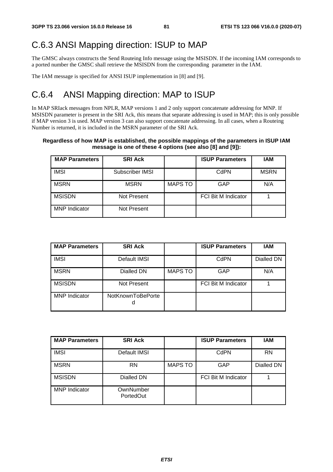## C.6.3 ANSI Mapping direction: ISUP to MAP

The GMSC always constructs the Send Routeing Info message using the MSISDN. If the incoming IAM corresponds to a ported number the GMSC shall retrieve the MSISDN from the corresponding parameter in the IAM.

The IAM message is specified for ANSI ISUP implementation in [8] and [9].

### C.6.4 ANSI Mapping direction: MAP to ISUP

In MAP SRIack messages from NPLR, MAP versions 1 and 2 only support concatenate addressing for MNP. If MSISDN parameter is present in the SRI Ack, this means that separate addressing is used in MAP; this is only possible if MAP version 3 is used. MAP version 3 can also support concatenate addressing. In all cases, when a Routeing Number is returned, it is included in the MSRN parameter of the SRI Ack.

#### **Regardless of how MAP is established, the possible mappings of the parameters in ISUP IAM message is one of these 4 options (see also [8] and [9]):**

| <b>MAP Parameters</b> | <b>SRI Ack</b>     |                | <b>ISUP Parameters</b>     | IAM         |
|-----------------------|--------------------|----------------|----------------------------|-------------|
| <b>IMSI</b>           | Subscriber IMSI    |                | CdPN                       | <b>MSRN</b> |
| <b>MSRN</b>           | <b>MSRN</b>        | <b>MAPS TO</b> | GAP                        | N/A         |
| <b>MSISDN</b>         | Not Present        |                | <b>FCI Bit M Indicator</b> |             |
| <b>MNP</b> Indicator  | <b>Not Present</b> |                |                            |             |

| <b>MAP Parameters</b> | <b>SRI Ack</b>    |                | <b>ISUP Parameters</b>     | <b>IAM</b> |
|-----------------------|-------------------|----------------|----------------------------|------------|
| <b>IMSI</b>           | Default IMSI      |                | CdPN                       | Dialled DN |
| <b>MSRN</b>           | Dialled DN        | <b>MAPS TO</b> | GAP                        | N/A        |
| <b>MSISDN</b>         | Not Present       |                | <b>FCI Bit M Indicator</b> |            |
| <b>MNP</b> Indicator  | NotKnownToBePorte |                |                            |            |

| <b>MAP Parameters</b> | <b>SRI Ack</b>         |                | <b>ISUP Parameters</b>     | <b>IAM</b> |
|-----------------------|------------------------|----------------|----------------------------|------------|
| <b>IMSI</b>           | Default IMSI           |                | CdPN                       | <b>RN</b>  |
| <b>MSRN</b>           | RN                     | <b>MAPS TO</b> | GAP                        | Dialled DN |
| <b>MSISDN</b>         | Dialled DN             |                | <b>FCI Bit M Indicator</b> |            |
| <b>MNP</b> Indicator  | OwnNumber<br>PortedOut |                |                            |            |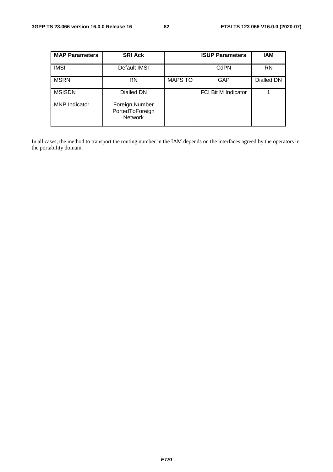| <b>MAP Parameters</b> | <b>SRI Ack</b>                                      |                | <b>ISUP Parameters</b>     | <b>IAM</b> |
|-----------------------|-----------------------------------------------------|----------------|----------------------------|------------|
| <b>IMSI</b>           | Default IMSI                                        |                | CdPN                       | <b>RN</b>  |
| <b>MSRN</b>           | <b>RN</b>                                           | <b>MAPS TO</b> | GAP                        | Dialled DN |
| <b>MSISDN</b>         | Dialled DN                                          |                | <b>FCI Bit M Indicator</b> |            |
| <b>MNP</b> Indicator  | Foreign Number<br>PortedToForeign<br><b>Network</b> |                |                            |            |

In all cases, the method to transport the routing number in the IAM depends on the interfaces agreed by the operators in the portability domain.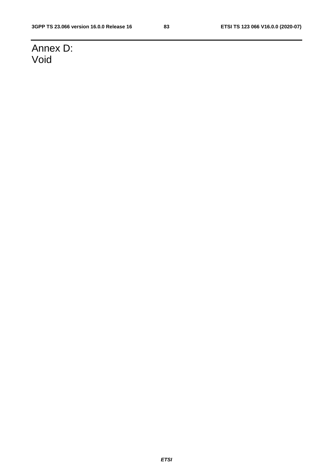## Annex D: Void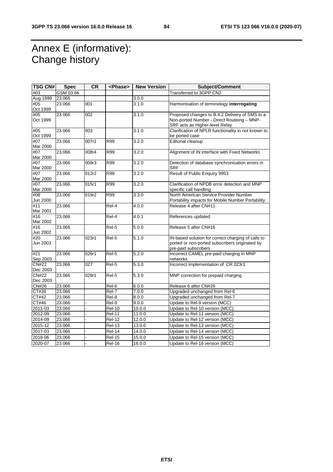## Annex E (informative): Change history

| TSG CN#         | <b>Spec</b> | <b>CR</b> | <phase></phase>      | <b>New Version</b> | <b>Subject/Comment</b>                                                 |
|-----------------|-------------|-----------|----------------------|--------------------|------------------------------------------------------------------------|
| #03             | GSM 03.66   |           |                      |                    | Transferred to 3GPP CN2                                                |
| Aug 1999        | 23.066      |           |                      | 3.0.0              |                                                                        |
| #05             | 23.066      | 001       |                      | 3.1.0              | Harmonisation of terminology interrogating                             |
| Oct 1999        |             |           |                      |                    |                                                                        |
| #05             | 23.066      | 002       |                      | 3.1.0              | Proposed changes to B.4.2 Delivery of SMS to a                         |
| Oct 1999        |             |           |                      |                    | Non-ported Number - Direct Routeing - MNP-                             |
|                 |             |           |                      |                    | SRF acts as Higher-level Relay                                         |
| #05             | 23.066      | 003       |                      | 3.1.0              | Clarification of NPLR functionality in not known to                    |
| Oct 1999        |             |           |                      |                    | be ported case                                                         |
| #07             | 23.066      | 007r1     | R99                  | 3.2.0              | Editorial cleanup                                                      |
| Mar 2000        |             |           |                      |                    |                                                                        |
| #07             | 23.066      | 008r4     | R99                  | 3.2.0              | Alignment of IN interface with Fixed Networks                          |
| Mar 2000        |             |           |                      |                    |                                                                        |
| #07             | 23.066      | 009r3     | R99                  | 3.2.0              | Detection of database synchronisation errors in                        |
| Mar 2000        |             |           |                      |                    | <b>SRF</b>                                                             |
| #07             | 23.066      | 012r2     | R99                  | 3.2.0              | Result of Public Enquiry 9953                                          |
| Mar 2000        |             |           |                      |                    |                                                                        |
| #07             | 23.066      | 015r1     | R99                  | 3.2.0              | Clarification of NPDB error detection and MNP                          |
| Mar 2000        |             |           |                      |                    | specific call handling                                                 |
| #08             | 23.066      | 019r2     | R99                  | 3.3.0              | North American Service Provider Number                                 |
| Jun 2000        |             |           |                      |                    | Portability impacts for Mobile Number Portability                      |
| #11             | 23.066      |           | Rel-4                | 4.0.0              | Release 4 after CN#11                                                  |
| Mar 2001        |             |           |                      |                    |                                                                        |
| #16             | 23.066      |           | Rel-4                | 4.0.1              | References updated                                                     |
| Mar 2002        |             |           |                      |                    |                                                                        |
| #16             | 23.066      |           | Rel-5                | 5.0.0              | Release 5 after CN#16                                                  |
| Jun 2002        |             |           |                      |                    |                                                                        |
| #20<br>Jun 2003 | 23.066      | 023r1     | Rel-5                | 5.1.0              | IN-based solution for correct charging of calls to                     |
|                 |             |           |                      |                    | ported or non-ported subscribers originated by<br>pre-paid subscribers |
| #21             | 23.066      | 026r1     | Rel-5                | 5.2.0              | Incorrect CAMEL pre-paid charging in MNP                               |
| Sep 2003        |             |           |                      |                    | networks                                                               |
| <b>CN#22</b>    | 23.066      | 027       | Rel-5                | 5.3.0              | Incorrect implementation of CR 023r1                                   |
| Dec 2003        |             |           |                      |                    |                                                                        |
| <b>CN#22</b>    | 23.066      | 028r1     | Rel-5                | 5.3.0              | MNP correction for prepaid charging                                    |
| Dec 2003        |             |           |                      |                    |                                                                        |
| CN#26           | 23.066      |           | Rel-6                | 6.0.0              | Release 6 after CN#26                                                  |
| CT#36           | 23.066      |           | $ReI-7$              | 7.0.0              | Upgraded unchanged from Rel-6                                          |
| <b>CT#42</b>    | 23.066      |           | Rel-8                | 8.0.0              | Upgraded unchanged from Rel-7                                          |
| CT#46           | 23.066      |           | Rel-9                | 9.0.0              | Update to Rel-9 version (MCC)                                          |
| 2011-03         | 23.066      |           | $Rel-10$             | 10.0.0             | Update to Rel-10 version (MCC)                                         |
| 2012-09         | 23.066      |           | <b>Rel-11</b>        | 11.0.0             | Update to Rel-11 version (MCC)                                         |
|                 |             |           | $Rel-12$             |                    |                                                                        |
| 2014-09         | 23.066      |           |                      | 12.0.0             | Update to Rel-12 version (MCC)                                         |
| 2015-12         | 23.066      |           | $\overline{R}$ el-13 | 13.0.0             | Update to Rel-13 version (MCC)                                         |
| 2017-03         | 23.066      |           | $Rel-14$             | 14.0.0             | Update to Rel-14 version (MCC)                                         |
| 2018-06         | 23.066      |           | <b>Rel-15</b>        | 15.0.0             | Update to Rel-15 version (MCC)                                         |
| 2020-07         | 23.066      |           | $\overline{R}$ el-16 | 16.0.0             | Update to Rel-16 version (MCC)                                         |